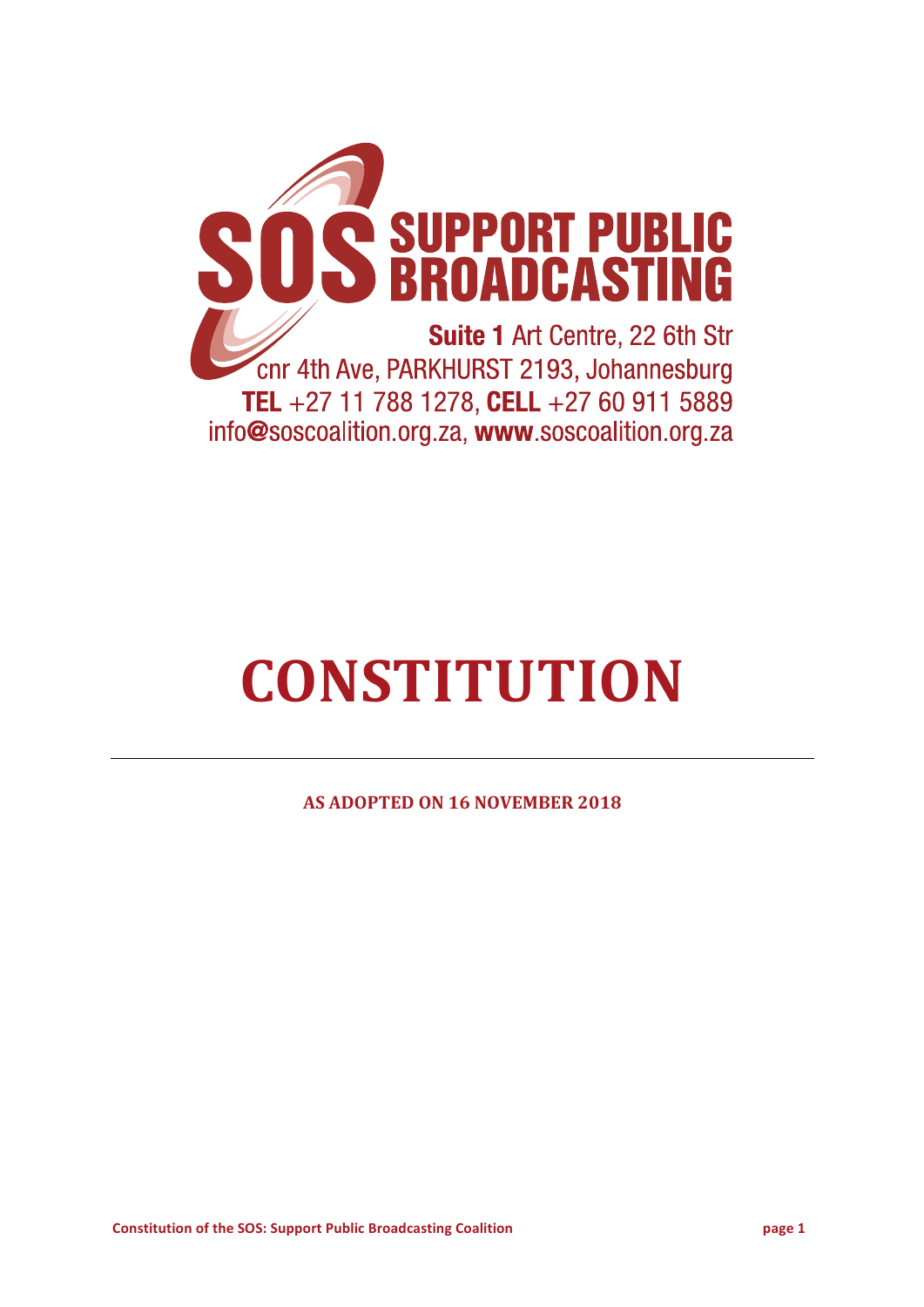

# **CONSTITUTION**

**AS ADOPTED ON 16 NOVEMBER 2018**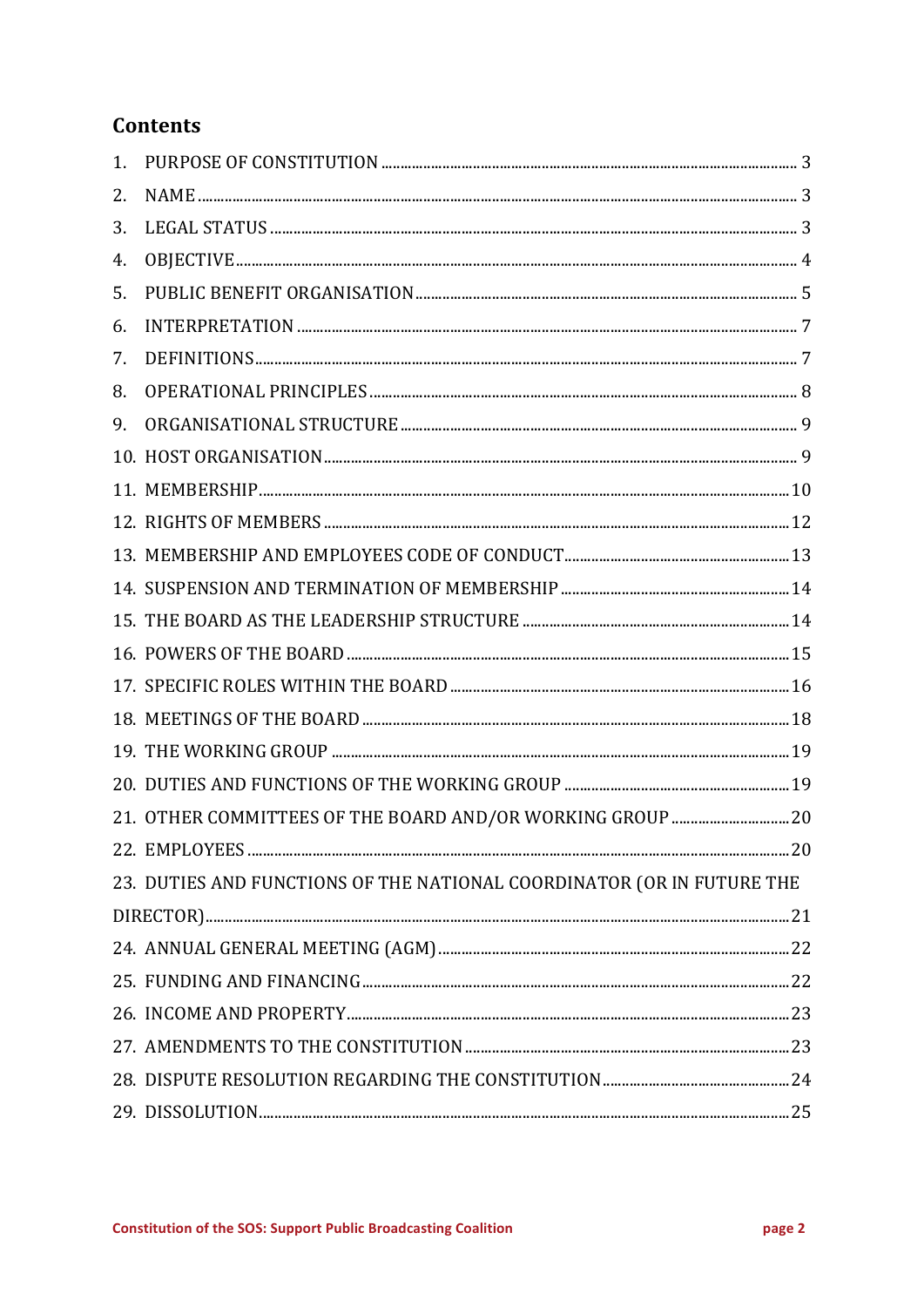# **Contents**

| 1. |                                                                        |  |
|----|------------------------------------------------------------------------|--|
| 2. |                                                                        |  |
| 3. |                                                                        |  |
| 4. |                                                                        |  |
| 5. |                                                                        |  |
| 6. |                                                                        |  |
| 7. |                                                                        |  |
| 8. |                                                                        |  |
| 9. |                                                                        |  |
|    |                                                                        |  |
|    |                                                                        |  |
|    |                                                                        |  |
|    |                                                                        |  |
|    |                                                                        |  |
|    |                                                                        |  |
|    |                                                                        |  |
|    |                                                                        |  |
|    |                                                                        |  |
|    |                                                                        |  |
|    |                                                                        |  |
|    | 21. OTHER COMMITTEES OF THE BOARD AND/OR WORKING GROUP  20             |  |
|    |                                                                        |  |
|    | 23. DUTIES AND FUNCTIONS OF THE NATIONAL COORDINATOR (OR IN FUTURE THE |  |
|    |                                                                        |  |
|    |                                                                        |  |
|    |                                                                        |  |
|    |                                                                        |  |
|    |                                                                        |  |
|    |                                                                        |  |
|    |                                                                        |  |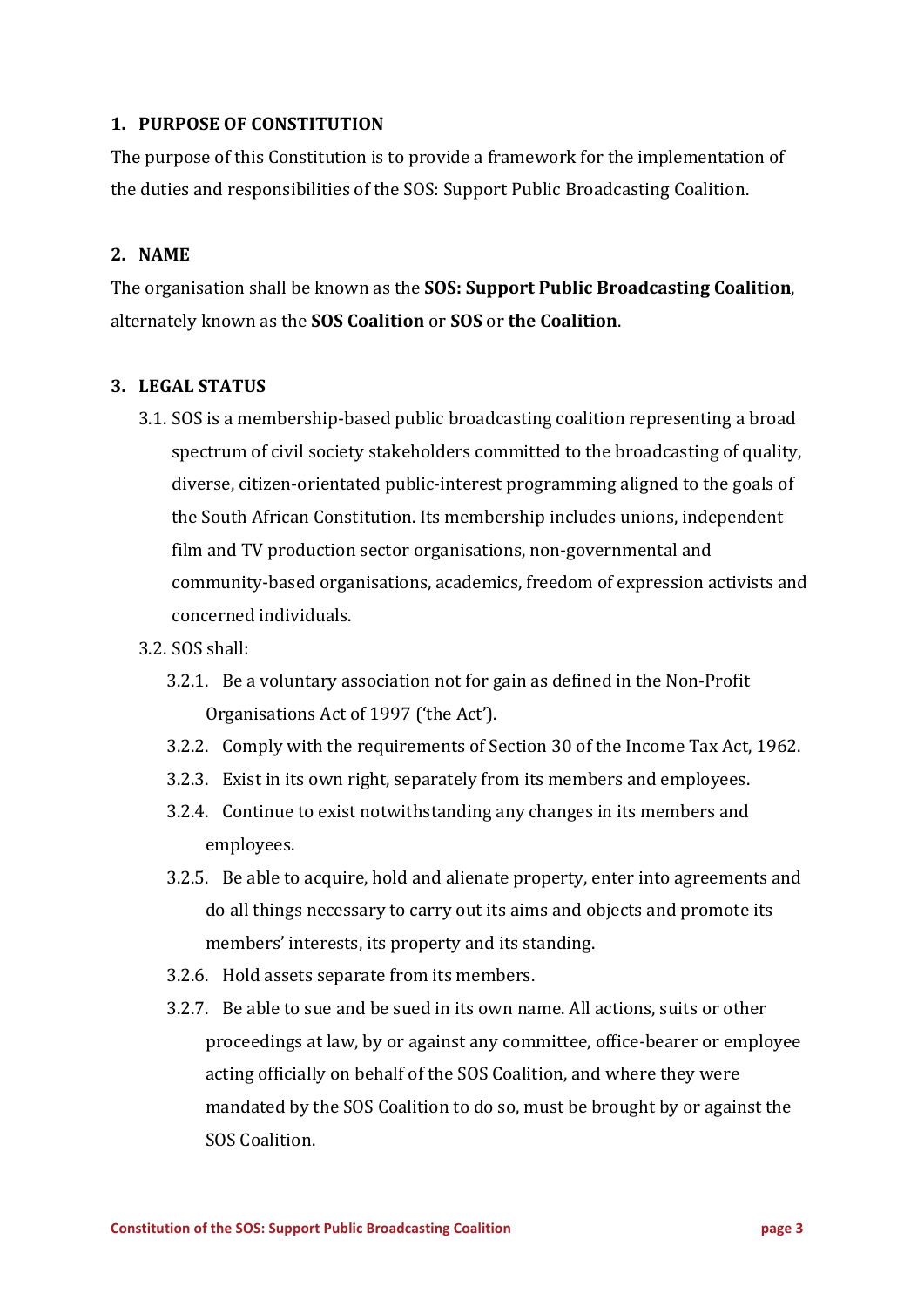# **1. PURPOSE OF CONSTITUTION**

The purpose of this Constitution is to provide a framework for the implementation of the duties and responsibilities of the SOS: Support Public Broadcasting Coalition.

## **2. NAME**

The organisation shall be known as the **SOS: Support Public Broadcasting Coalition**, alternately known as the **SOS Coalition** or **SOS** or **the Coalition**.

#### **3. LEGAL STATUS**

3.1. SOS is a membership-based public broadcasting coalition representing a broad spectrum of civil society stakeholders committed to the broadcasting of quality, diverse, citizen-orientated public-interest programming aligned to the goals of the South African Constitution. Its membership includes unions, independent film and TV production sector organisations, non-governmental and community-based organisations, academics, freedom of expression activists and concerned individuals.

#### 3.2. SOS shall:

- 3.2.1. Be a voluntary association not for gain as defined in the Non-Profit Organisations Act of 1997 ('the Act').
- 3.2.2. Comply with the requirements of Section 30 of the Income Tax Act, 1962.
- 3.2.3. Exist in its own right, separately from its members and employees.
- 3.2.4. Continue to exist notwithstanding any changes in its members and employees.
- 3.2.5. Be able to acquire, hold and alienate property, enter into agreements and do all things necessary to carry out its aims and objects and promote its members' interests, its property and its standing.
- 3.2.6. Hold assets separate from its members.
- 3.2.7. Be able to sue and be sued in its own name. All actions, suits or other proceedings at law, by or against any committee, office-bearer or employee acting officially on behalf of the SOS Coalition, and where they were mandated by the SOS Coalition to do so, must be brought by or against the SOS Coalition.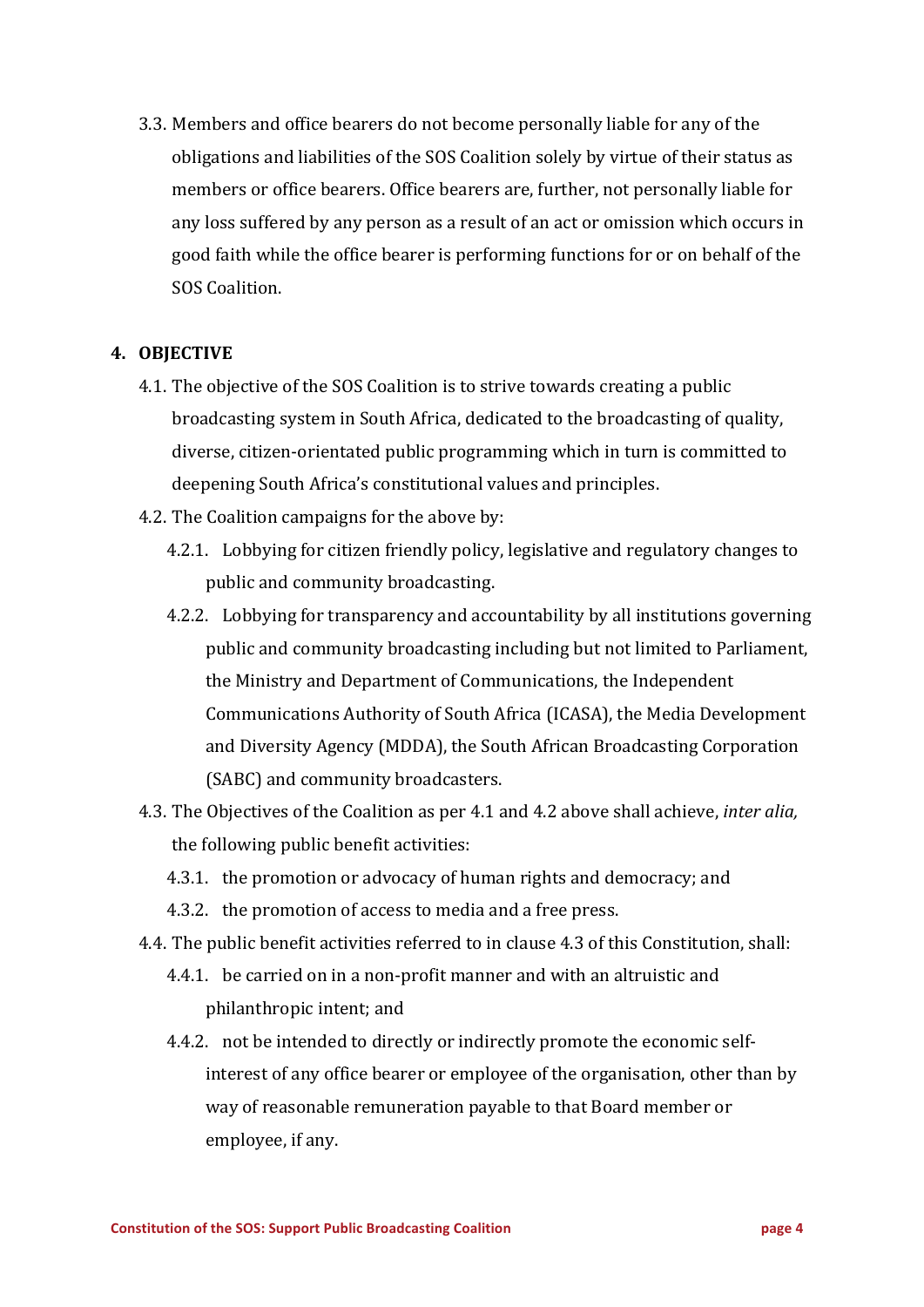3.3. Members and office bearers do not become personally liable for any of the obligations and liabilities of the SOS Coalition solely by virtue of their status as members or office bearers. Office bearers are, further, not personally liable for any loss suffered by any person as a result of an act or omission which occurs in good faith while the office bearer is performing functions for or on behalf of the SOS Coalition.

## **4. OBJECTIVE**

- 4.1. The objective of the SOS Coalition is to strive towards creating a public broadcasting system in South Africa, dedicated to the broadcasting of quality, diverse, citizen-orientated public programming which in turn is committed to deepening South Africa's constitutional values and principles.
- 4.2. The Coalition campaigns for the above by:
	- 4.2.1. Lobbying for citizen friendly policy, legislative and regulatory changes to public and community broadcasting.
	- 4.2.2. Lobbying for transparency and accountability by all institutions governing public and community broadcasting including but not limited to Parliament, the Ministry and Department of Communications, the Independent Communications Authority of South Africa (ICASA), the Media Development and Diversity Agency (MDDA), the South African Broadcasting Corporation (SABC) and community broadcasters.
- 4.3. The Objectives of the Coalition as per 4.1 and 4.2 above shall achieve, *inter alia*, the following public benefit activities:
	- 4.3.1. the promotion or advocacy of human rights and democracy; and
	- 4.3.2. the promotion of access to media and a free press.
- 4.4. The public benefit activities referred to in clause 4.3 of this Constitution, shall:
	- 4.4.1. be carried on in a non-profit manner and with an altruistic and philanthropic intent; and
	- 4.4.2. not be intended to directly or indirectly promote the economic selfinterest of any office bearer or employee of the organisation, other than by way of reasonable remuneration payable to that Board member or employee, if any.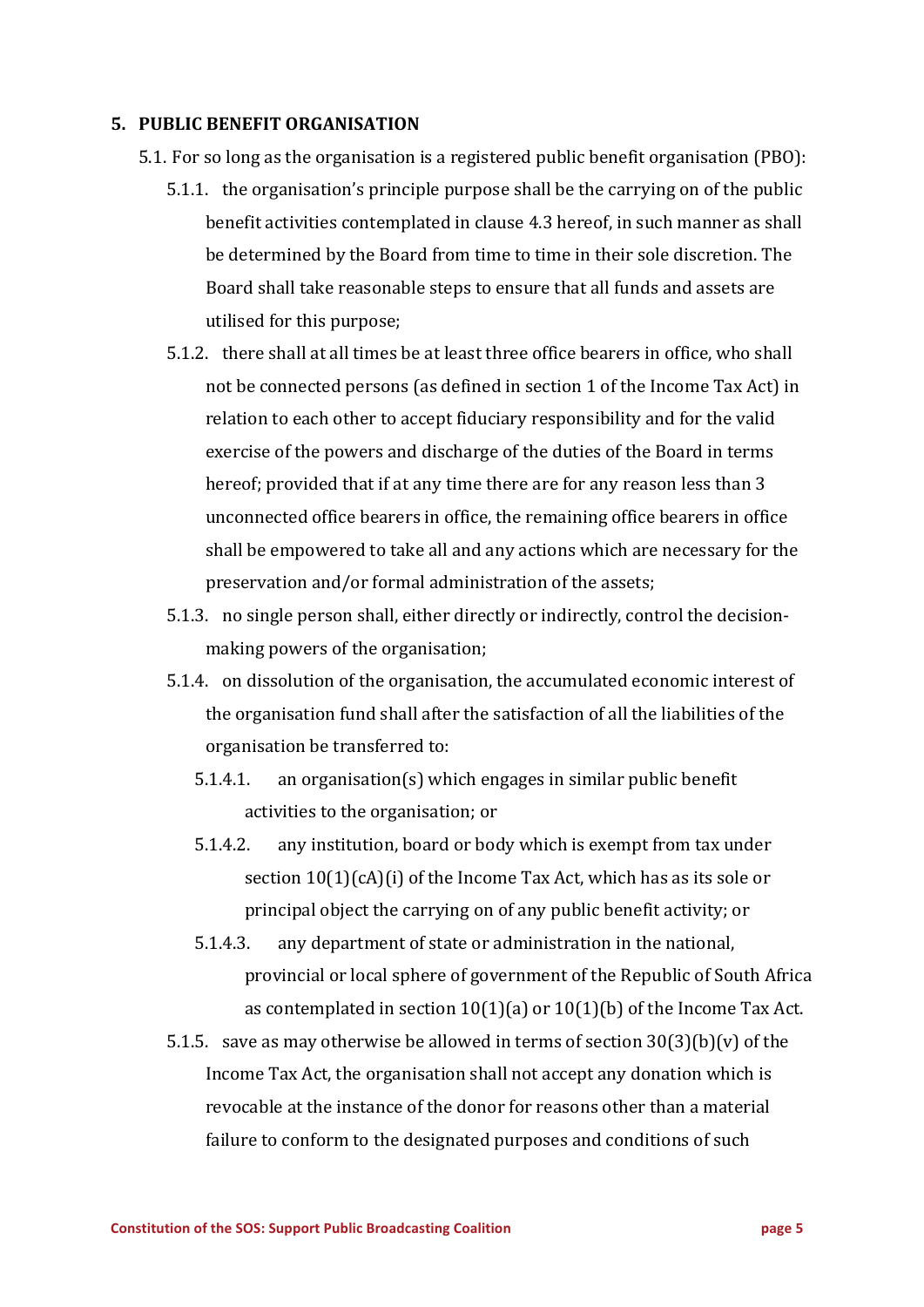#### **5. PUBLIC BENEFIT ORGANISATION**

- 5.1. For so long as the organisation is a registered public benefit organisation (PBO):
	- 5.1.1. the organisation's principle purpose shall be the carrying on of the public benefit activities contemplated in clause 4.3 hereof, in such manner as shall be determined by the Board from time to time in their sole discretion. The Board shall take reasonable steps to ensure that all funds and assets are utilised for this purpose;
	- 5.1.2. there shall at all times be at least three office bearers in office, who shall not be connected persons (as defined in section 1 of the Income Tax Act) in relation to each other to accept fiduciary responsibility and for the valid exercise of the powers and discharge of the duties of the Board in terms hereof: provided that if at any time there are for any reason less than 3 unconnected office bearers in office, the remaining office bearers in office shall be empowered to take all and any actions which are necessary for the preservation and/or formal administration of the assets;
	- 5.1.3. no single person shall, either directly or indirectly, control the decisionmaking powers of the organisation;
	- 5.1.4. on dissolution of the organisation, the accumulated economic interest of the organisation fund shall after the satisfaction of all the liabilities of the organisation be transferred to:
		- $5.1.4.1.$  an organisation(s) which engages in similar public benefit activities to the organisation; or
		- 5.1.4.2. any institution, board or body which is exempt from tax under section  $10(1)(cA)(i)$  of the Income Tax Act, which has as its sole or principal object the carrying on of any public benefit activity; or
		- 5.1.4.3. any department of state or administration in the national, provincial or local sphere of government of the Republic of South Africa as contemplated in section  $10(1)(a)$  or  $10(1)(b)$  of the Income Tax Act.
	- 5.1.5. save as may otherwise be allowed in terms of section  $30(3)(b)(v)$  of the Income Tax Act, the organisation shall not accept any donation which is revocable at the instance of the donor for reasons other than a material failure to conform to the designated purposes and conditions of such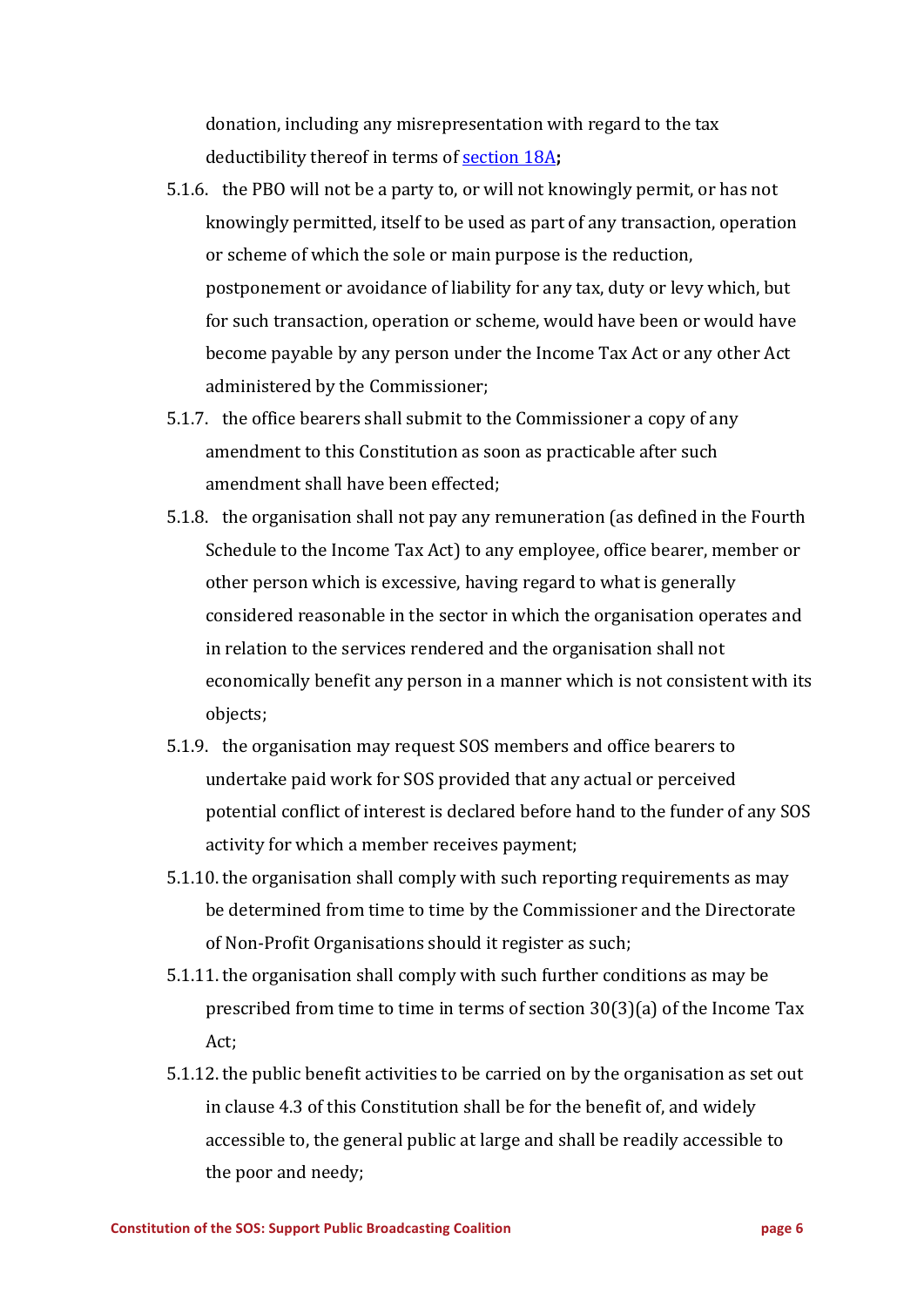donation, including any misrepresentation with regard to the tax deductibility thereof in terms of **section 18A**;

- 5.1.6. the PBO will not be a party to, or will not knowingly permit, or has not knowingly permitted, itself to be used as part of any transaction, operation or scheme of which the sole or main purpose is the reduction, postponement or avoidance of liability for any tax, duty or levy which, but for such transaction, operation or scheme, would have been or would have become payable by any person under the Income Tax Act or any other Act administered by the Commissioner;
- 5.1.7. the office bearers shall submit to the Commissioner a copy of any amendment to this Constitution as soon as practicable after such amendment shall have been effected:
- 5.1.8. the organisation shall not pay any remuneration (as defined in the Fourth Schedule to the Income Tax Act) to any employee, office bearer, member or other person which is excessive, having regard to what is generally considered reasonable in the sector in which the organisation operates and in relation to the services rendered and the organisation shall not economically benefit any person in a manner which is not consistent with its objects;
- 5.1.9. the organisation may request SOS members and office bearers to undertake paid work for SOS provided that any actual or perceived potential conflict of interest is declared before hand to the funder of any SOS activity for which a member receives payment;
- 5.1.10. the organisation shall comply with such reporting requirements as may be determined from time to time by the Commissioner and the Directorate of Non-Profit Organisations should it register as such;
- 5.1.11. the organisation shall comply with such further conditions as may be prescribed from time to time in terms of section  $30(3)(a)$  of the Income Tax Act;
- 5.1.12. the public benefit activities to be carried on by the organisation as set out in clause 4.3 of this Constitution shall be for the benefit of, and widely accessible to, the general public at large and shall be readily accessible to the poor and needy;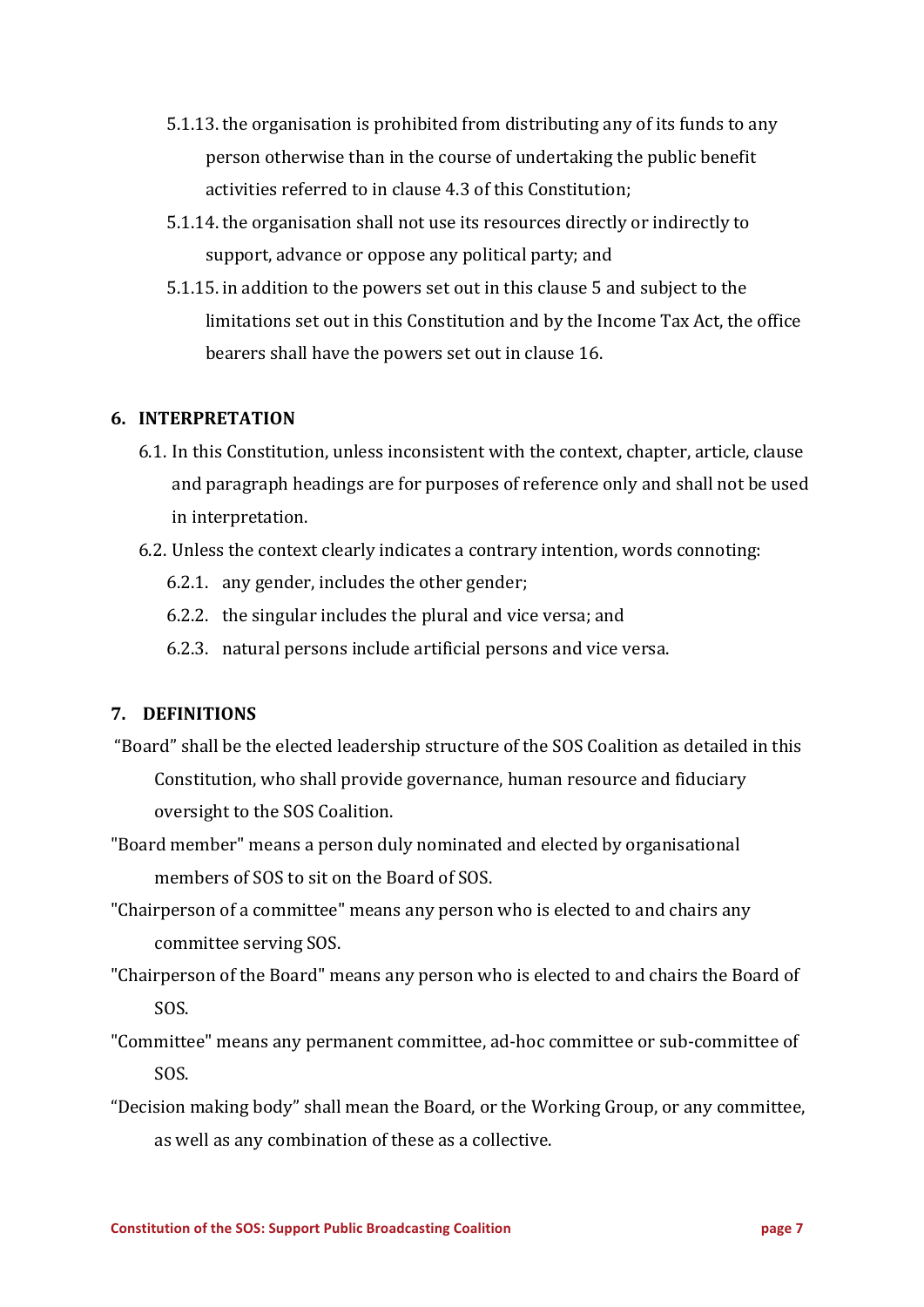- 5.1.13. the organisation is prohibited from distributing any of its funds to any person otherwise than in the course of undertaking the public benefit activities referred to in clause 4.3 of this Constitution;
- 5.1.14. the organisation shall not use its resources directly or indirectly to support, advance or oppose any political party; and
- 5.1.15. in addition to the powers set out in this clause 5 and subject to the limitations set out in this Constitution and by the Income Tax Act, the office bearers shall have the powers set out in clause 16.

## **6. INTERPRETATION**

- 6.1. In this Constitution, unless inconsistent with the context, chapter, article, clause and paragraph headings are for purposes of reference only and shall not be used in interpretation.
- 6.2. Unless the context clearly indicates a contrary intention, words connoting:
	- 6.2.1. any gender, includes the other gender;
	- 6.2.2. the singular includes the plural and vice versa; and
	- 6.2.3. natural persons include artificial persons and vice versa.

# **7. DEFINITIONS**

- "Board" shall be the elected leadership structure of the SOS Coalition as detailed in this Constitution, who shall provide governance, human resource and fiduciary oversight to the SOS Coalition.
- "Board member" means a person duly nominated and elected by organisational members of SOS to sit on the Board of SOS.
- "Chairperson of a committee" means any person who is elected to and chairs any committee serving SOS.
- "Chairperson of the Board" means any person who is elected to and chairs the Board of SOS.
- "Committee" means any permanent committee, ad-hoc committee or sub-committee of SOS.
- "Decision making body" shall mean the Board, or the Working Group, or any committee, as well as any combination of these as a collective.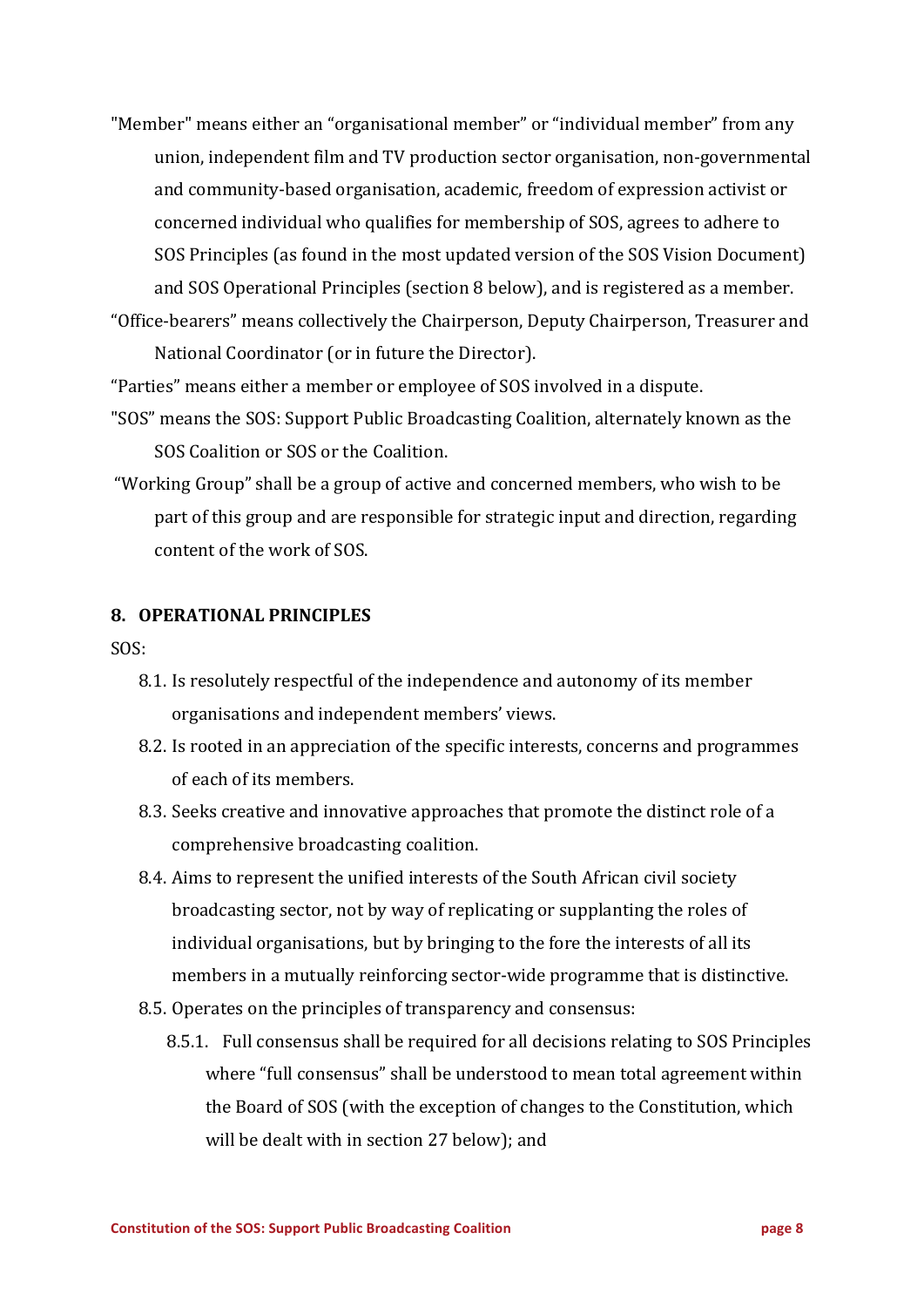"Member" means either an "organisational member" or "individual member" from any union, independent film and TV production sector organisation, non-governmental and community-based organisation, academic, freedom of expression activist or concerned individual who qualifies for membership of SOS, agrees to adhere to SOS Principles (as found in the most updated version of the SOS Vision Document) and SOS Operational Principles (section 8 below), and is registered as a member. "Office-bearers" means collectively the Chairperson, Deputy Chairperson, Treasurer and 

National Coordinator (or in future the Director).

"Parties" means either a member or employee of SOS involved in a dispute.

- "SOS" means the SOS: Support Public Broadcasting Coalition, alternately known as the SOS Coalition or SOS or the Coalition.
- "Working Group" shall be a group of active and concerned members, who wish to be part of this group and are responsible for strategic input and direction, regarding content of the work of SOS.

#### **8. OPERATIONAL PRINCIPLES**

SOS:

- 8.1. Is resolutely respectful of the independence and autonomy of its member organisations and independent members' views.
- 8.2. Is rooted in an appreciation of the specific interests, concerns and programmes of each of its members.
- 8.3. Seeks creative and innovative approaches that promote the distinct role of a comprehensive broadcasting coalition.
- 8.4. Aims to represent the unified interests of the South African civil society broadcasting sector, not by way of replicating or supplanting the roles of individual organisations, but by bringing to the fore the interests of all its members in a mutually reinforcing sector-wide programme that is distinctive.
- 8.5. Operates on the principles of transparency and consensus:
	- 8.5.1. Full consensus shall be required for all decisions relating to SOS Principles where "full consensus" shall be understood to mean total agreement within the Board of SOS (with the exception of changes to the Constitution, which will be dealt with in section 27 below); and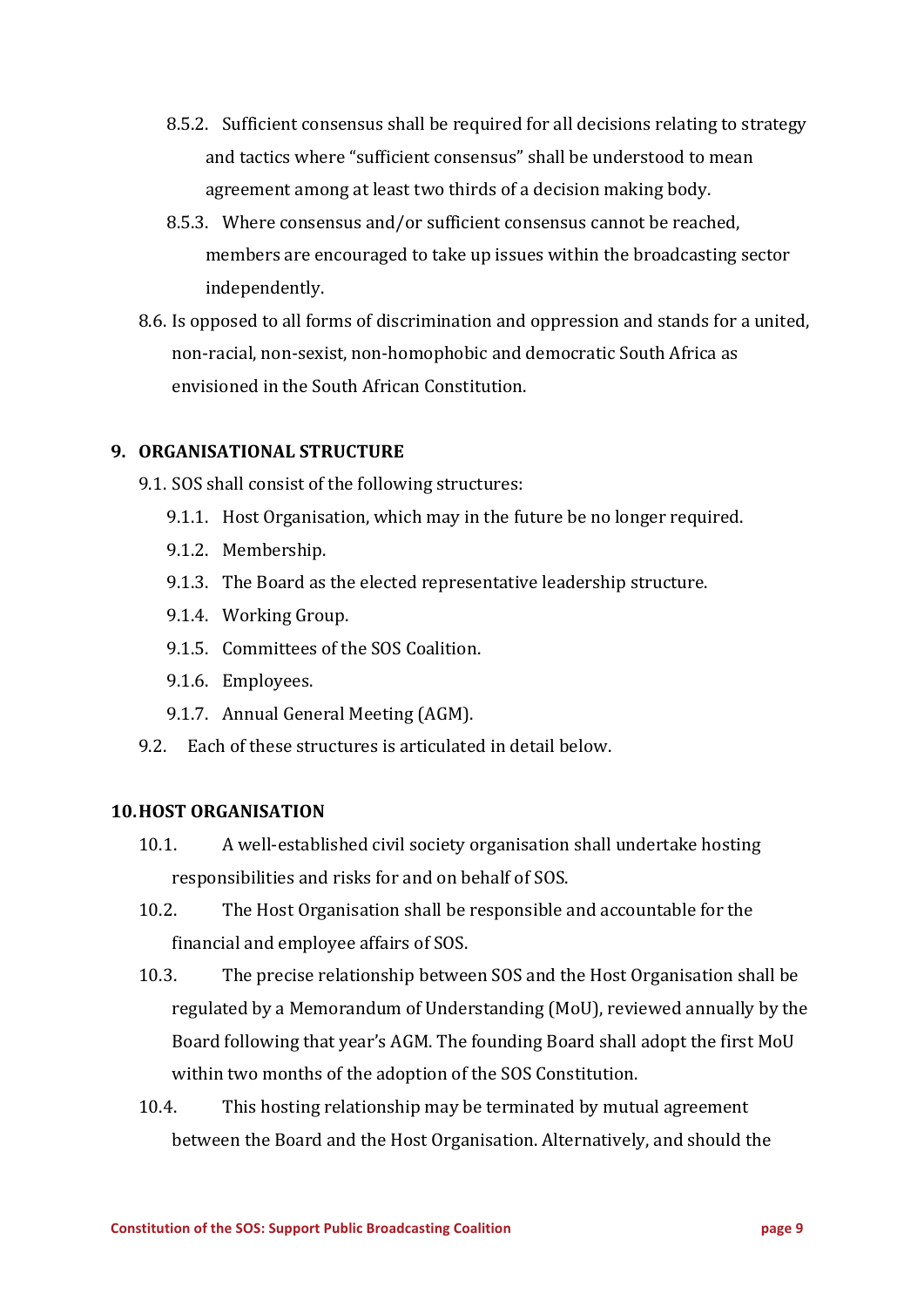- 8.5.2. Sufficient consensus shall be required for all decisions relating to strategy and tactics where "sufficient consensus" shall be understood to mean agreement among at least two thirds of a decision making body.
- 8.5.3. Where consensus and/or sufficient consensus cannot be reached, members are encouraged to take up issues within the broadcasting sector independently.
- 8.6. Is opposed to all forms of discrimination and oppression and stands for a united, non-racial, non-sexist, non-homophobic and democratic South Africa as envisioned in the South African Constitution.

## **9. ORGANISATIONAL STRUCTURE**

- 9.1. SOS shall consist of the following structures:
	- 9.1.1. Host Organisation, which may in the future be no longer required.
	- 9.1.2. Membership.
	- 9.1.3. The Board as the elected representative leadership structure.
	- 9.1.4. Working Group.
	- 9.1.5. Committees of the SOS Coalition.
	- 9.1.6. Employees.
	- 9.1.7. Annual General Meeting (AGM).
- 9.2. Each of these structures is articulated in detail below.

#### **10.HOST ORGANISATION**

- 10.1. A well-established civil society organisation shall undertake hosting responsibilities and risks for and on behalf of SOS.
- 10.2. The Host Organisation shall be responsible and accountable for the financial and employee affairs of SOS.
- 10.3. The precise relationship between SOS and the Host Organisation shall be regulated by a Memorandum of Understanding (MoU), reviewed annually by the Board following that year's AGM. The founding Board shall adopt the first MoU within two months of the adoption of the SOS Constitution.
- 10.4. This hosting relationship may be terminated by mutual agreement between the Board and the Host Organisation. Alternatively, and should the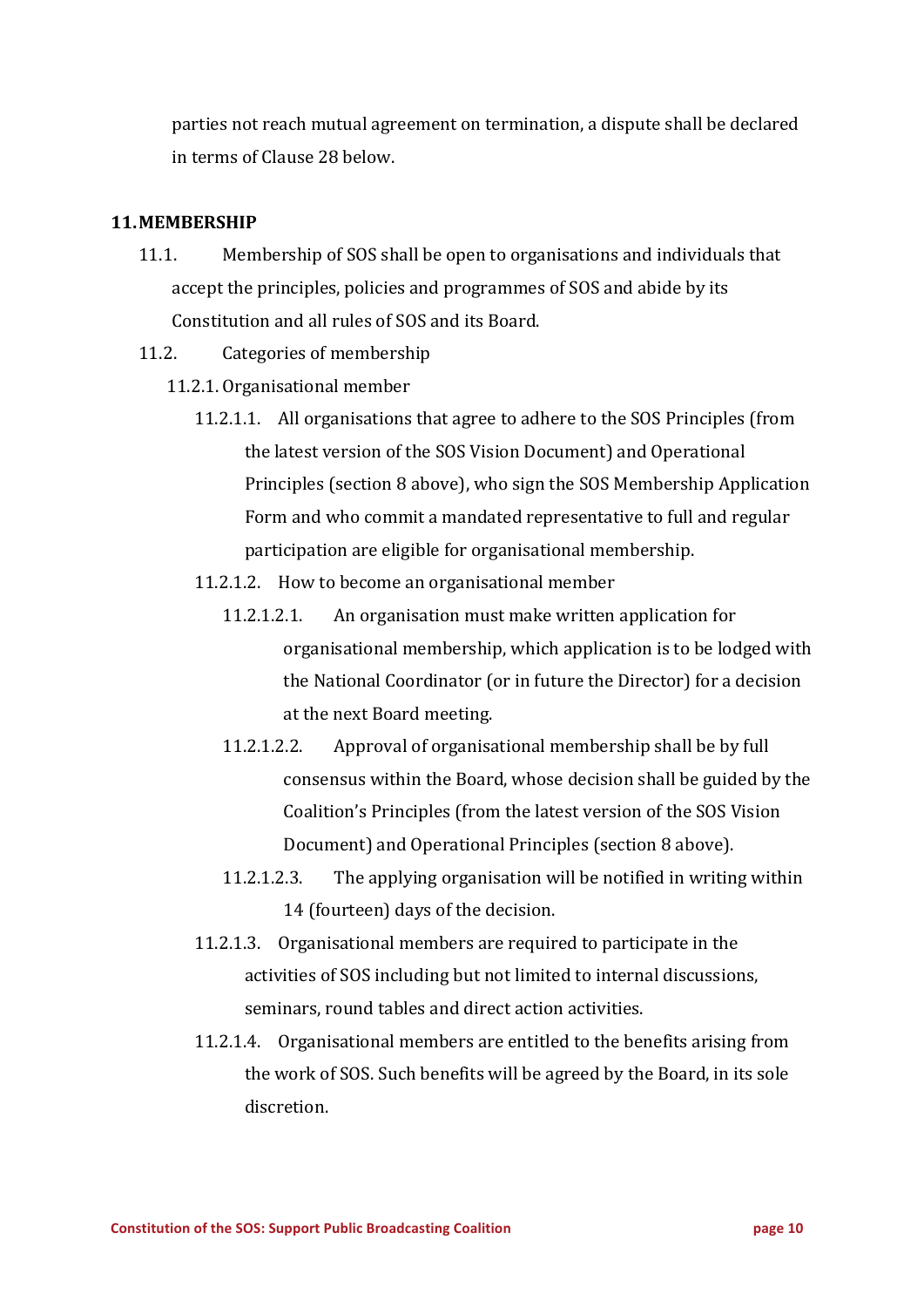parties not reach mutual agreement on termination, a dispute shall be declared in terms of Clause 28 below.

# **11.MEMBERSHIP**

- 11.1. Membership of SOS shall be open to organisations and individuals that accept the principles, policies and programmes of SOS and abide by its Constitution and all rules of SOS and its Board.
- 11.2. Categories of membership
	- 11.2.1. Organisational member
		- 11.2.1.1. All organisations that agree to adhere to the SOS Principles (from the latest version of the SOS Vision Document) and Operational Principles (section 8 above), who sign the SOS Membership Application Form and who commit a mandated representative to full and regular participation are eligible for organisational membership.
		- 11.2.1.2. How to become an organisational member
			- 11.2.1.2.1. An organisation must make written application for organisational membership, which application is to be lodged with the National Coordinator (or in future the Director) for a decision at the next Board meeting.
			- 11.2.1.2.2. Approval of organisational membership shall be by full consensus within the Board, whose decision shall be guided by the Coalition's Principles (from the latest version of the SOS Vision Document) and Operational Principles (section 8 above).
			- 11.2.1.2.3. The applying organisation will be notified in writing within 14 (fourteen) days of the decision.
		- 11.2.1.3. Organisational members are required to participate in the activities of SOS including but not limited to internal discussions, seminars, round tables and direct action activities.
		- 11.2.1.4. Organisational members are entitled to the benefits arising from the work of SOS. Such benefits will be agreed by the Board, in its sole discretion.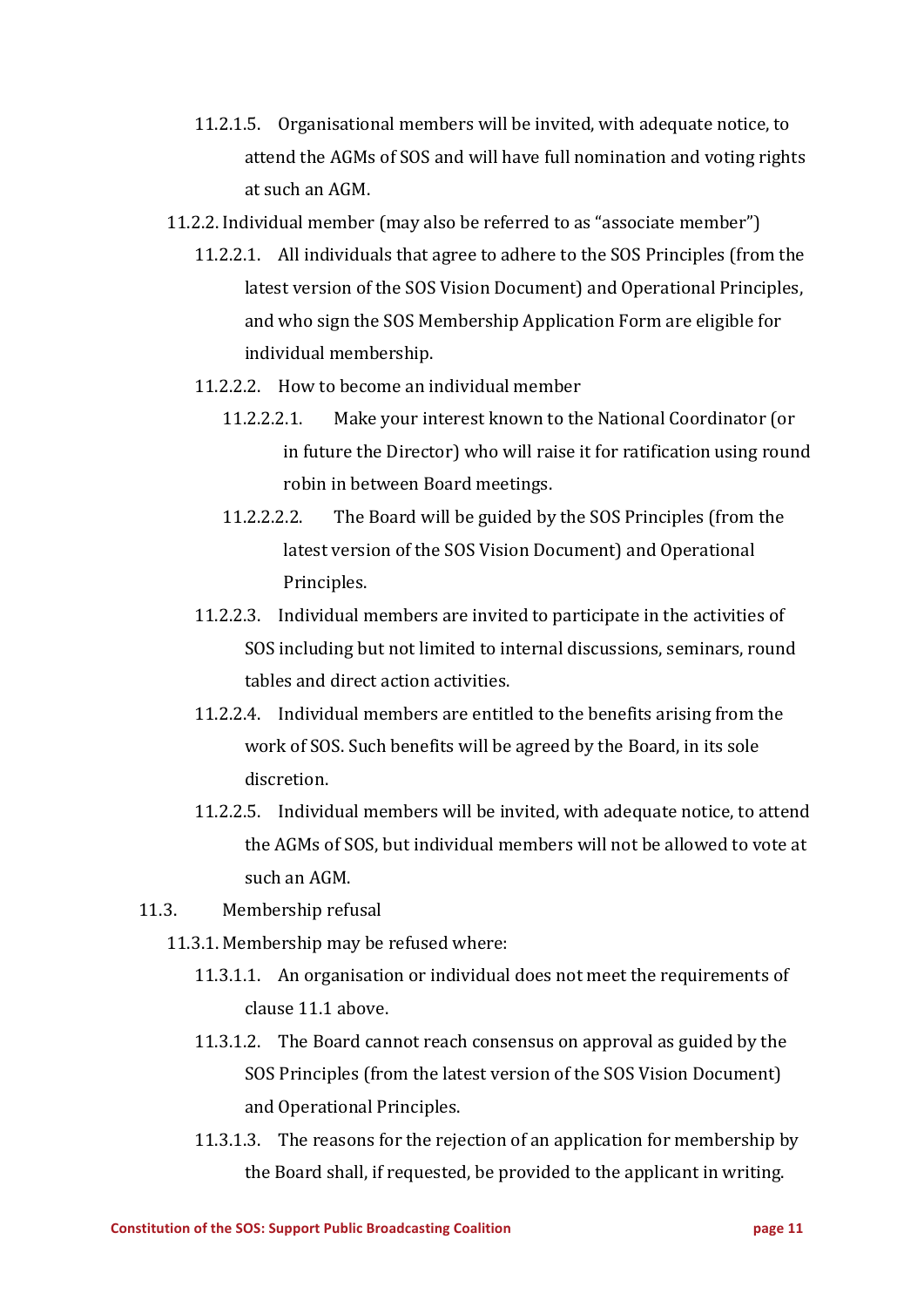- 11.2.1.5. Organisational members will be invited, with adequate notice, to attend the AGMs of SOS and will have full nomination and voting rights at such an AGM.
- 11.2.2. Individual member (may also be referred to as "associate member")
	- 11.2.2.1. All individuals that agree to adhere to the SOS Principles (from the latest version of the SOS Vision Document) and Operational Principles, and who sign the SOS Membership Application Form are eligible for individual membership.
	- 11.2.2.2. How to become an individual member
		- 11.2.2.2.1. Make your interest known to the National Coordinator (or in future the Director) who will raise it for ratification using round robin in between Board meetings.
		- 11.2.2.2.2. The Board will be guided by the SOS Principles (from the latest version of the SOS Vision Document) and Operational Principles.
	- 11.2.2.3. Individual members are invited to participate in the activities of SOS including but not limited to internal discussions, seminars, round tables and direct action activities.
	- 11.2.2.4. Individual members are entitled to the benefits arising from the work of SOS. Such benefits will be agreed by the Board, in its sole discretion.
	- 11.2.2.5. Individual members will be invited, with adequate notice, to attend the AGMs of SOS, but individual members will not be allowed to vote at such an AGM.
- 11.3. Membership refusal
	- 11.3.1. Membership may be refused where:
		- 11.3.1.1. An organisation or individual does not meet the requirements of clause 11.1 above.
		- 11.3.1.2. The Board cannot reach consensus on approval as guided by the SOS Principles (from the latest version of the SOS Vision Document) and Operational Principles.
		- 11.3.1.3. The reasons for the rejection of an application for membership by the Board shall, if requested, be provided to the applicant in writing.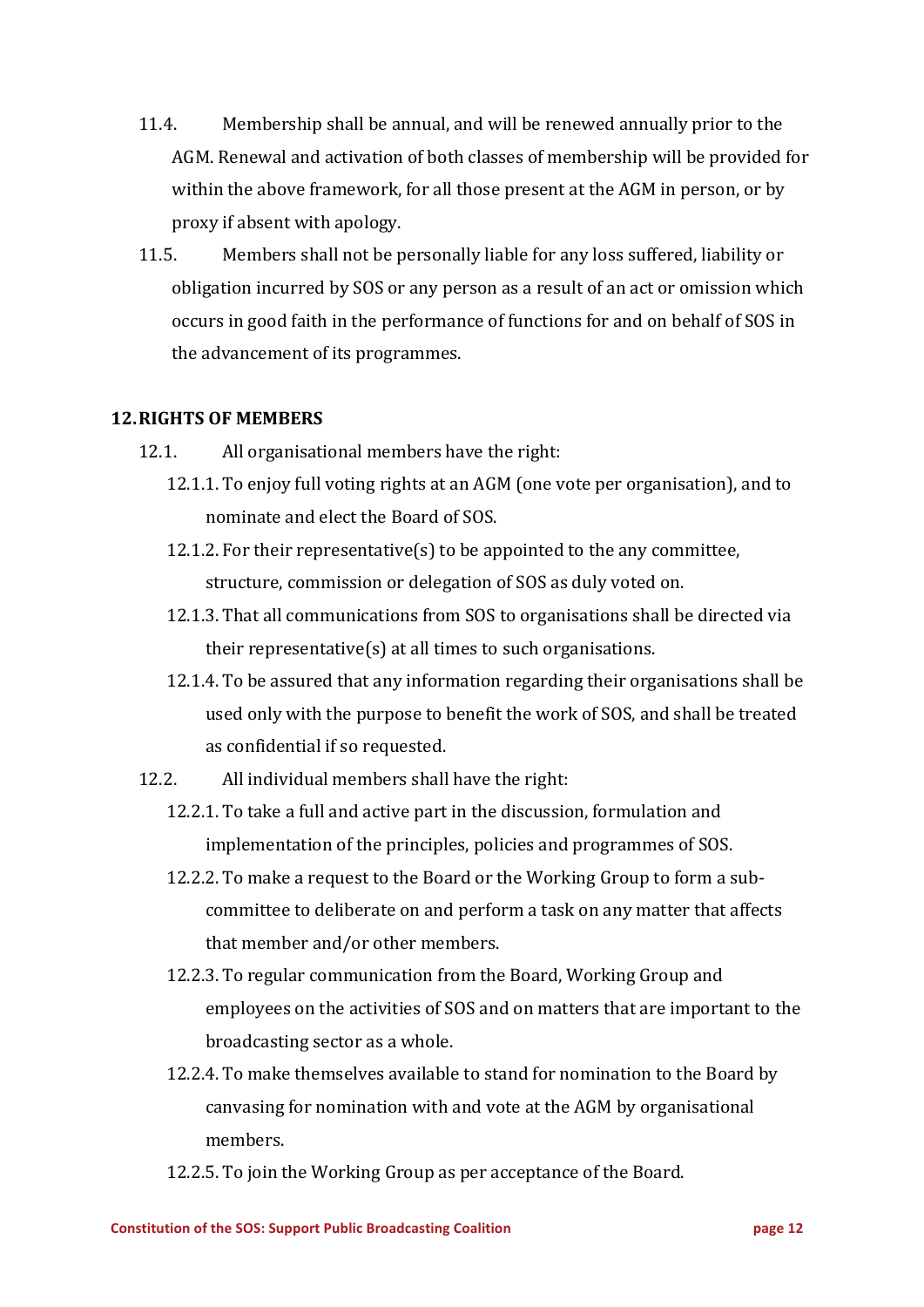- 11.4. Membership shall be annual, and will be renewed annually prior to the AGM. Renewal and activation of both classes of membership will be provided for within the above framework, for all those present at the AGM in person, or by proxy if absent with apology.
- 11.5. Members shall not be personally liable for any loss suffered, liability or obligation incurred by SOS or any person as a result of an act or omission which occurs in good faith in the performance of functions for and on behalf of SOS in the advancement of its programmes.

## **12.RIGHTS OF MEMBERS**

- 12.1. All organisational members have the right:
	- 12.1.1. To enjoy full voting rights at an AGM (one vote per organisation), and to nominate and elect the Board of SOS.
	- 12.1.2. For their representative(s) to be appointed to the any committee, structure, commission or delegation of SOS as duly voted on.
	- 12.1.3. That all communications from SOS to organisations shall be directed via their representative $(s)$  at all times to such organisations.
	- 12.1.4. To be assured that any information regarding their organisations shall be used only with the purpose to benefit the work of SOS, and shall be treated as confidential if so requested.
- 12.2. All individual members shall have the right:
	- 12.2.1. To take a full and active part in the discussion, formulation and implementation of the principles, policies and programmes of SOS.
	- 12.2.2. To make a request to the Board or the Working Group to form a subcommittee to deliberate on and perform a task on any matter that affects that member and/or other members.
	- 12.2.3. To regular communication from the Board, Working Group and employees on the activities of SOS and on matters that are important to the broadcasting sector as a whole.
	- 12.2.4. To make themselves available to stand for nomination to the Board by canvasing for nomination with and vote at the AGM by organisational members.
	- 12.2.5. To join the Working Group as per acceptance of the Board.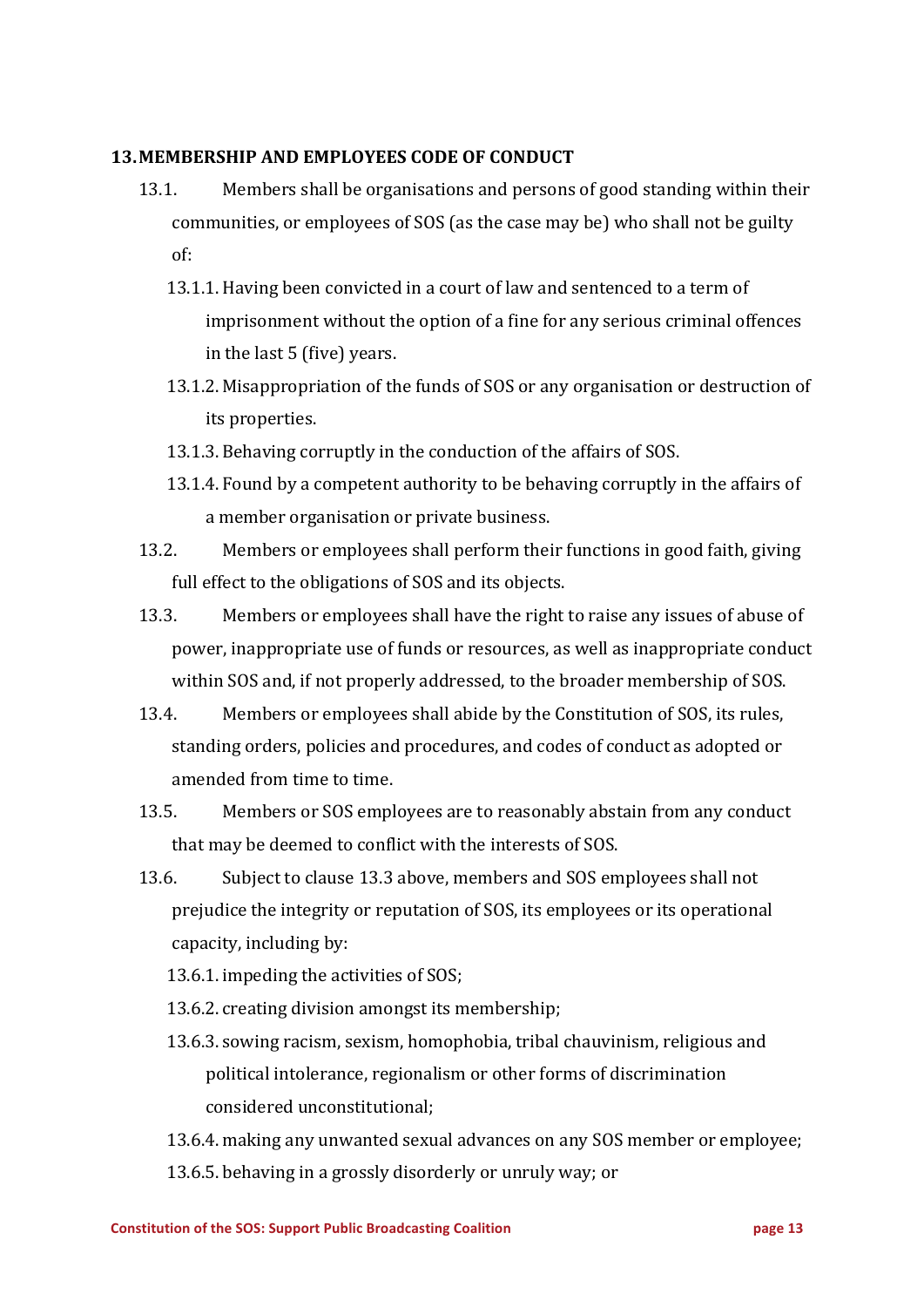#### **13.MEMBERSHIP AND EMPLOYEES CODE OF CONDUCT**

- 13.1. Members shall be organisations and persons of good standing within their communities, or employees of SOS (as the case may be) who shall not be guilty of:
	- 13.1.1. Having been convicted in a court of law and sentenced to a term of imprisonment without the option of a fine for any serious criminal offences in the last  $5$  (five) years.
	- 13.1.2. Misappropriation of the funds of SOS or any organisation or destruction of its properties.
	- 13.1.3. Behaving corruptly in the conduction of the affairs of SOS.
	- 13.1.4. Found by a competent authority to be behaving corruptly in the affairs of a member organisation or private business.
- 13.2. Members or employees shall perform their functions in good faith, giving full effect to the obligations of SOS and its objects.
- 13.3. Members or employees shall have the right to raise any issues of abuse of power, inappropriate use of funds or resources, as well as inappropriate conduct within SOS and, if not properly addressed, to the broader membership of SOS.
- 13.4. Members or employees shall abide by the Constitution of SOS, its rules, standing orders, policies and procedures, and codes of conduct as adopted or amended from time to time.
- 13.5. Members or SOS employees are to reasonably abstain from any conduct that may be deemed to conflict with the interests of SOS.
- 13.6. Subject to clause 13.3 above, members and SOS employees shall not prejudice the integrity or reputation of SOS, its employees or its operational capacity, including by:
	- 13.6.1. impeding the activities of SOS;
	- 13.6.2. creating division amongst its membership;
	- 13.6.3. sowing racism, sexism, homophobia, tribal chauvinism, religious and political intolerance, regionalism or other forms of discrimination considered unconstitutional:

13.6.4. making any unwanted sexual advances on any SOS member or employee; 13.6.5. behaving in a grossly disorderly or unruly way; or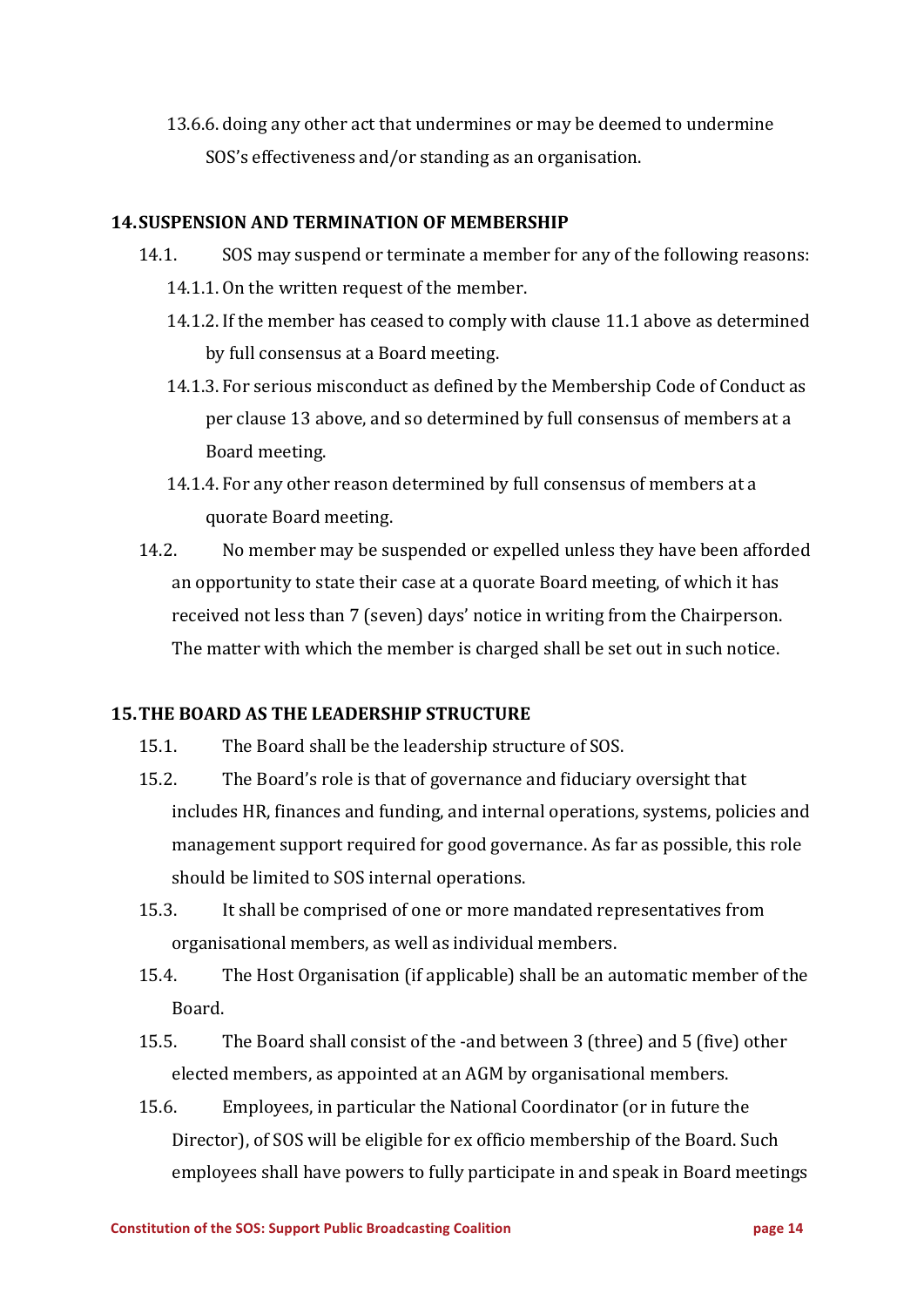13.6.6. doing any other act that undermines or may be deemed to undermine SOS's effectiveness and/or standing as an organisation.

## **14. SUSPENSION AND TERMINATION OF MEMBERSHIP**

- 14.1. SOS may suspend or terminate a member for any of the following reasons: 14.1.1. On the written request of the member.
	- 14.1.2. If the member has ceased to comply with clause 11.1 above as determined by full consensus at a Board meeting.
	- 14.1.3. For serious misconduct as defined by the Membership Code of Conduct as per clause 13 above, and so determined by full consensus of members at a Board meeting.
	- 14.1.4. For any other reason determined by full consensus of members at a quorate Board meeting.
- 14.2. No member may be suspended or expelled unless they have been afforded an opportunity to state their case at a quorate Board meeting, of which it has received not less than 7 (seven) days' notice in writing from the Chairperson. The matter with which the member is charged shall be set out in such notice.

#### **15. THE BOARD AS THE LEADERSHIP STRUCTURE**

- 15.1. The Board shall be the leadership structure of SOS.
- 15.2. The Board's role is that of governance and fiduciary oversight that includes HR, finances and funding, and internal operations, systems, policies and management support required for good governance. As far as possible, this role should be limited to SOS internal operations.
- 15.3. It shall be comprised of one or more mandated representatives from organisational members, as well as individual members.
- 15.4. The Host Organisation (if applicable) shall be an automatic member of the Board.
- 15.5. The Board shall consist of the -and between 3 (three) and 5 (five) other elected members, as appointed at an AGM by organisational members.
- 15.6. Employees, in particular the National Coordinator (or in future the Director), of SOS will be eligible for ex officio membership of the Board. Such employees shall have powers to fully participate in and speak in Board meetings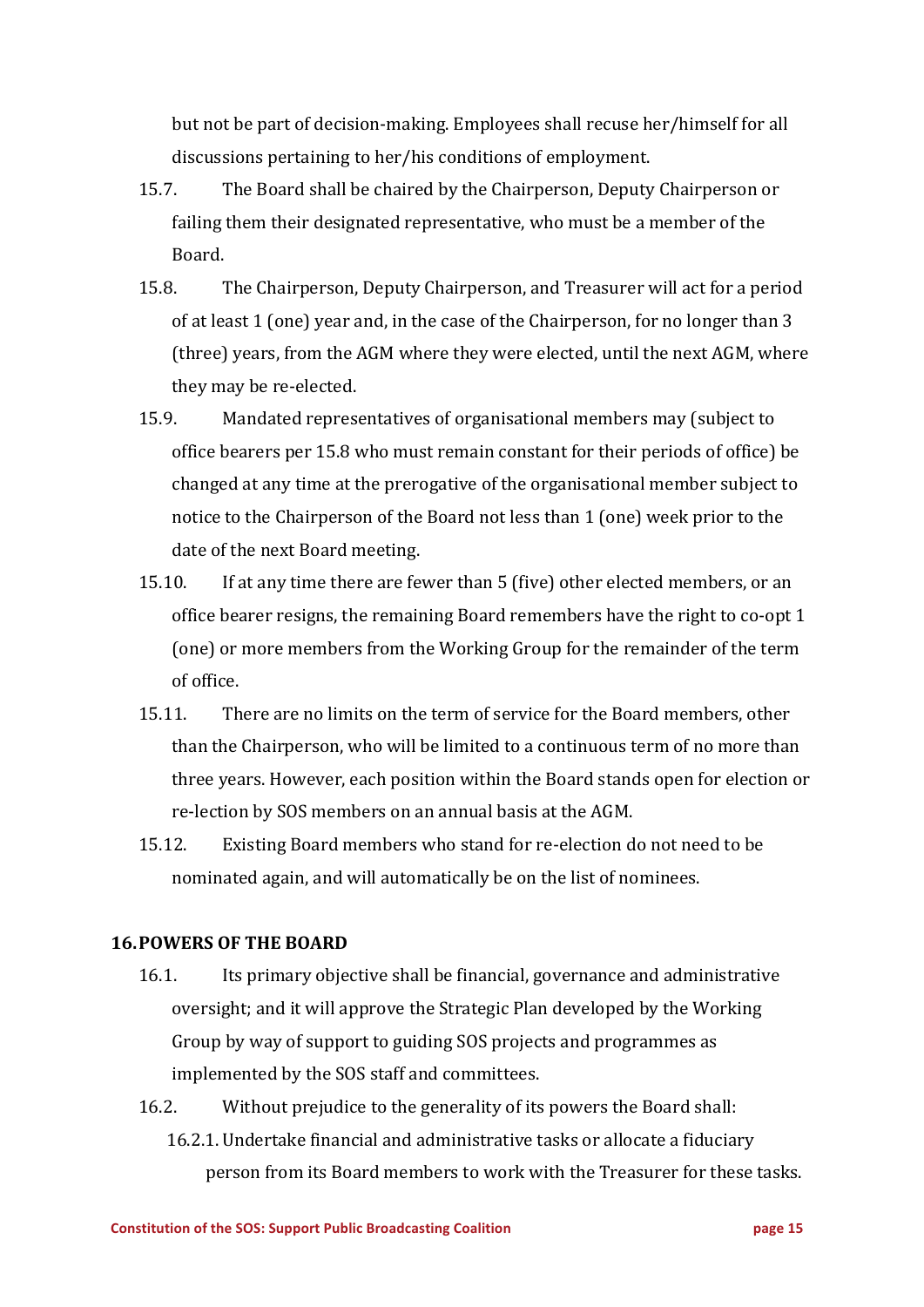but not be part of decision-making. Employees shall recuse her/himself for all discussions pertaining to her/his conditions of employment.

- 15.7. The Board shall be chaired by the Chairperson, Deputy Chairperson or failing them their designated representative, who must be a member of the Board.
- 15.8. The Chairperson, Deputy Chairperson, and Treasurer will act for a period of at least 1 (one) year and, in the case of the Chairperson, for no longer than 3 (three) years, from the AGM where they were elected, until the next AGM, where they may be re-elected.
- 15.9. Mandated representatives of organisational members may (subject to office bearers per 15.8 who must remain constant for their periods of office) be changed at any time at the prerogative of the organisational member subject to notice to the Chairperson of the Board not less than 1 (one) week prior to the date of the next Board meeting.
- 15.10. If at any time there are fewer than 5 (five) other elected members, or an office bearer resigns, the remaining Board remembers have the right to co-opt 1 (one) or more members from the Working Group for the remainder of the term of office.
- 15.11. There are no limits on the term of service for the Board members, other than the Chairperson, who will be limited to a continuous term of no more than three years. However, each position within the Board stands open for election or re-lection by SOS members on an annual basis at the AGM.
- 15.12. Existing Board members who stand for re-election do not need to be nominated again, and will automatically be on the list of nominees.

## **16.POWERS OF THE BOARD**

- 16.1. Its primary objective shall be financial, governance and administrative oversight; and it will approve the Strategic Plan developed by the Working Group by way of support to guiding SOS projects and programmes as implemented by the SOS staff and committees.
- 16.2. Without prejudice to the generality of its powers the Board shall: 16.2.1. Undertake financial and administrative tasks or allocate a fiduciary person from its Board members to work with the Treasurer for these tasks.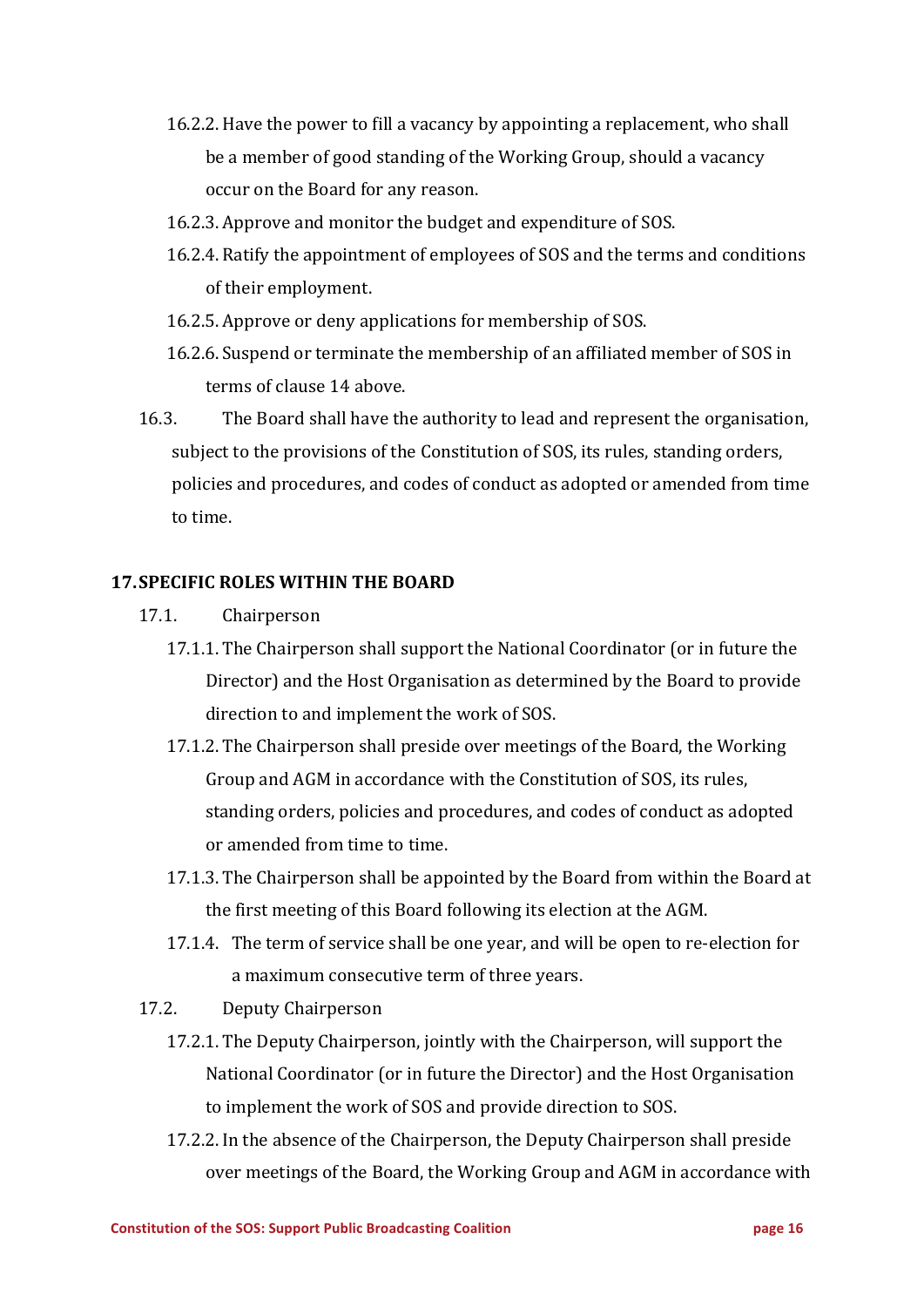- 16.2.2. Have the power to fill a vacancy by appointing a replacement, who shall be a member of good standing of the Working Group, should a vacancy occur on the Board for any reason.
- 16.2.3. Approve and monitor the budget and expenditure of SOS.
- 16.2.4. Ratify the appointment of employees of SOS and the terms and conditions of their employment.
- 16.2.5. Approve or deny applications for membership of SOS.
- 16.2.6. Suspend or terminate the membership of an affiliated member of SOS in terms of clause 14 above.
- 16.3. The Board shall have the authority to lead and represent the organisation, subject to the provisions of the Constitution of SOS, its rules, standing orders, policies and procedures, and codes of conduct as adopted or amended from time to time.

#### **17. SPECIFIC ROLES WITHIN THE BOARD**

- 17.1. Chairperson
	- 17.1.1. The Chairperson shall support the National Coordinator (or in future the Director) and the Host Organisation as determined by the Board to provide direction to and implement the work of SOS.
	- 17.1.2. The Chairperson shall preside over meetings of the Board, the Working Group and AGM in accordance with the Constitution of SOS, its rules, standing orders, policies and procedures, and codes of conduct as adopted or amended from time to time.
	- 17.1.3. The Chairperson shall be appointed by the Board from within the Board at the first meeting of this Board following its election at the AGM.
	- 17.1.4. The term of service shall be one year, and will be open to re-election for a maximum consecutive term of three years.
- 17.2. Deputy Chairperson
	- 17.2.1. The Deputy Chairperson, jointly with the Chairperson, will support the National Coordinator (or in future the Director) and the Host Organisation to implement the work of SOS and provide direction to SOS.
	- 17.2.2. In the absence of the Chairperson, the Deputy Chairperson shall preside over meetings of the Board, the Working Group and AGM in accordance with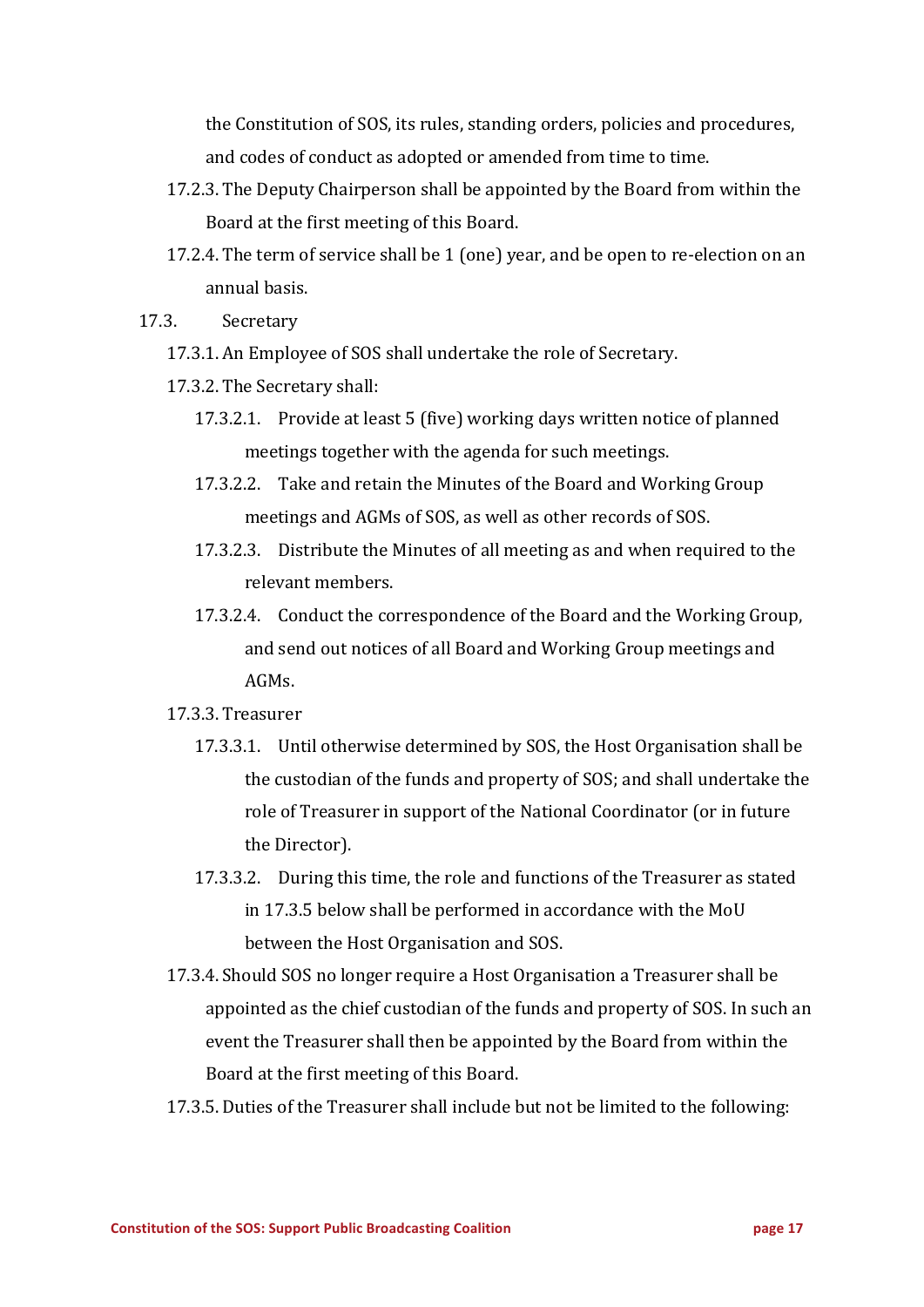the Constitution of SOS, its rules, standing orders, policies and procedures, and codes of conduct as adopted or amended from time to time.

- 17.2.3. The Deputy Chairperson shall be appointed by the Board from within the Board at the first meeting of this Board.
- 17.2.4. The term of service shall be 1 (one) year, and be open to re-election on an annual basis.
- 17.3. Secretary
	- 17.3.1. An Employee of SOS shall undertake the role of Secretary.
	- 17.3.2. The Secretary shall:
		- 17.3.2.1. Provide at least 5 (five) working days written notice of planned meetings together with the agenda for such meetings.
		- 17.3.2.2. Take and retain the Minutes of the Board and Working Group meetings and AGMs of SOS, as well as other records of SOS.
		- 17.3.2.3. Distribute the Minutes of all meeting as and when required to the relevant members.
		- 17.3.2.4. Conduct the correspondence of the Board and the Working Group, and send out notices of all Board and Working Group meetings and AGMs.
	- 17.3.3. Treasurer
		- 17.3.3.1. Until otherwise determined by SOS, the Host Organisation shall be the custodian of the funds and property of SOS; and shall undertake the role of Treasurer in support of the National Coordinator (or in future the Director).
		- 17.3.3.2. During this time, the role and functions of the Treasurer as stated in 17.3.5 below shall be performed in accordance with the MoU between the Host Organisation and SOS.
	- 17.3.4. Should SOS no longer require a Host Organisation a Treasurer shall be appointed as the chief custodian of the funds and property of SOS. In such an event the Treasurer shall then be appointed by the Board from within the Board at the first meeting of this Board.
	- 17.3.5. Duties of the Treasurer shall include but not be limited to the following: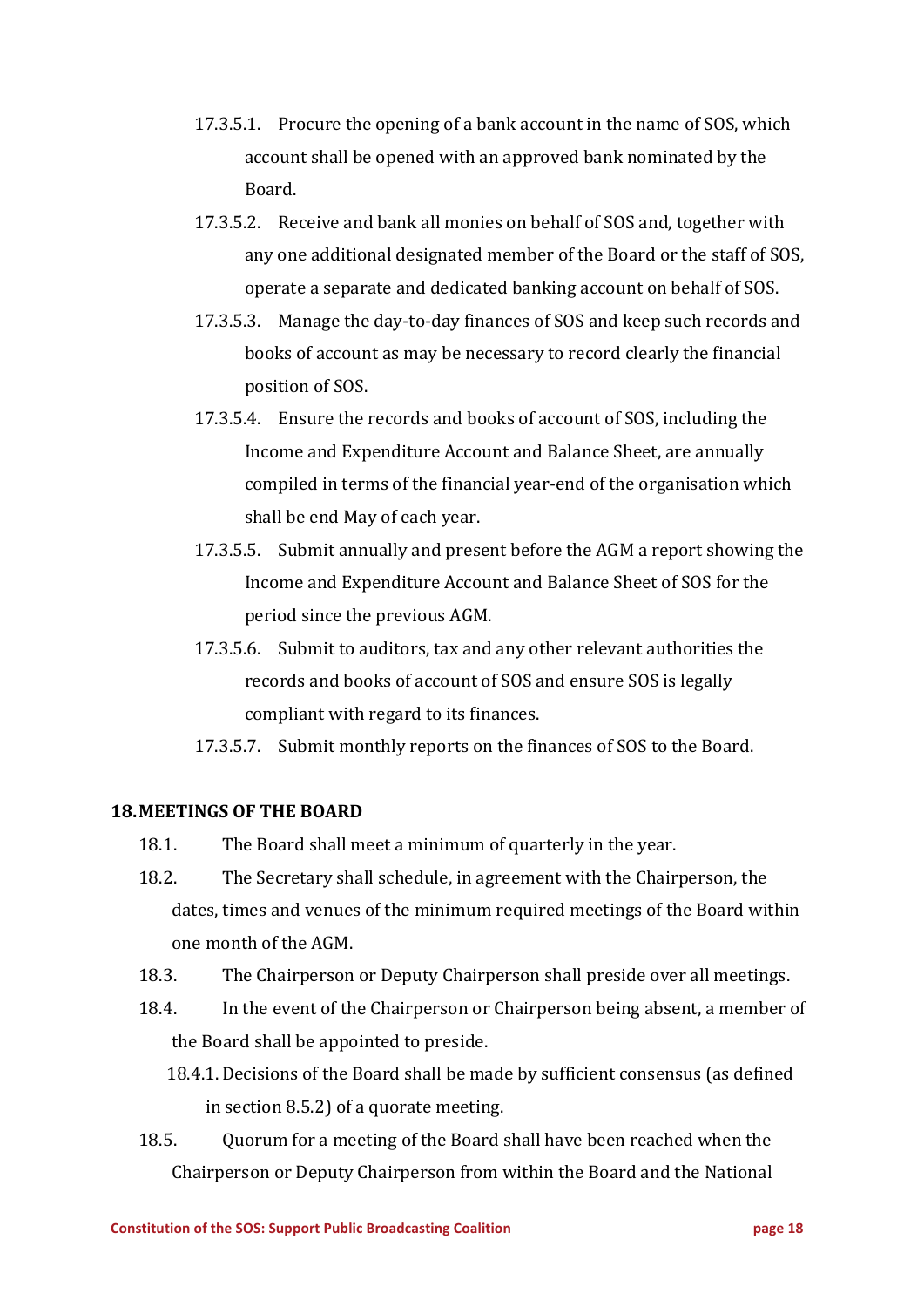- 17.3.5.1. Procure the opening of a bank account in the name of SOS, which account shall be opened with an approved bank nominated by the Board.
- 17.3.5.2. Receive and bank all monies on behalf of SOS and, together with any one additional designated member of the Board or the staff of SOS, operate a separate and dedicated banking account on behalf of SOS.
- 17.3.5.3. Manage the day-to-day finances of SOS and keep such records and books of account as may be necessary to record clearly the financial position of SOS.
- 17.3.5.4. Ensure the records and books of account of SOS, including the Income and Expenditure Account and Balance Sheet, are annually compiled in terms of the financial vear-end of the organisation which shall be end May of each year.
- 17.3.5.5. Submit annually and present before the AGM a report showing the Income and Expenditure Account and Balance Sheet of SOS for the period since the previous AGM.
- 17.3.5.6. Submit to auditors, tax and any other relevant authorities the records and books of account of SOS and ensure SOS is legally compliant with regard to its finances.
- 17.3.5.7. Submit monthly reports on the finances of SOS to the Board.

#### **18. MEETINGS OF THE BOARD**

- 18.1. The Board shall meet a minimum of quarterly in the year.
- 18.2. The Secretary shall schedule, in agreement with the Chairperson, the dates, times and venues of the minimum required meetings of the Board within one month of the AGM.
- 18.3. The Chairperson or Deputy Chairperson shall preside over all meetings.
- 18.4. In the event of the Chairperson or Chairperson being absent, a member of the Board shall be appointed to preside.
	- 18.4.1. Decisions of the Board shall be made by sufficient consensus (as defined in section  $8.5.2$  of a quorate meeting.
- 18.5. Quorum for a meeting of the Board shall have been reached when the Chairperson or Deputy Chairperson from within the Board and the National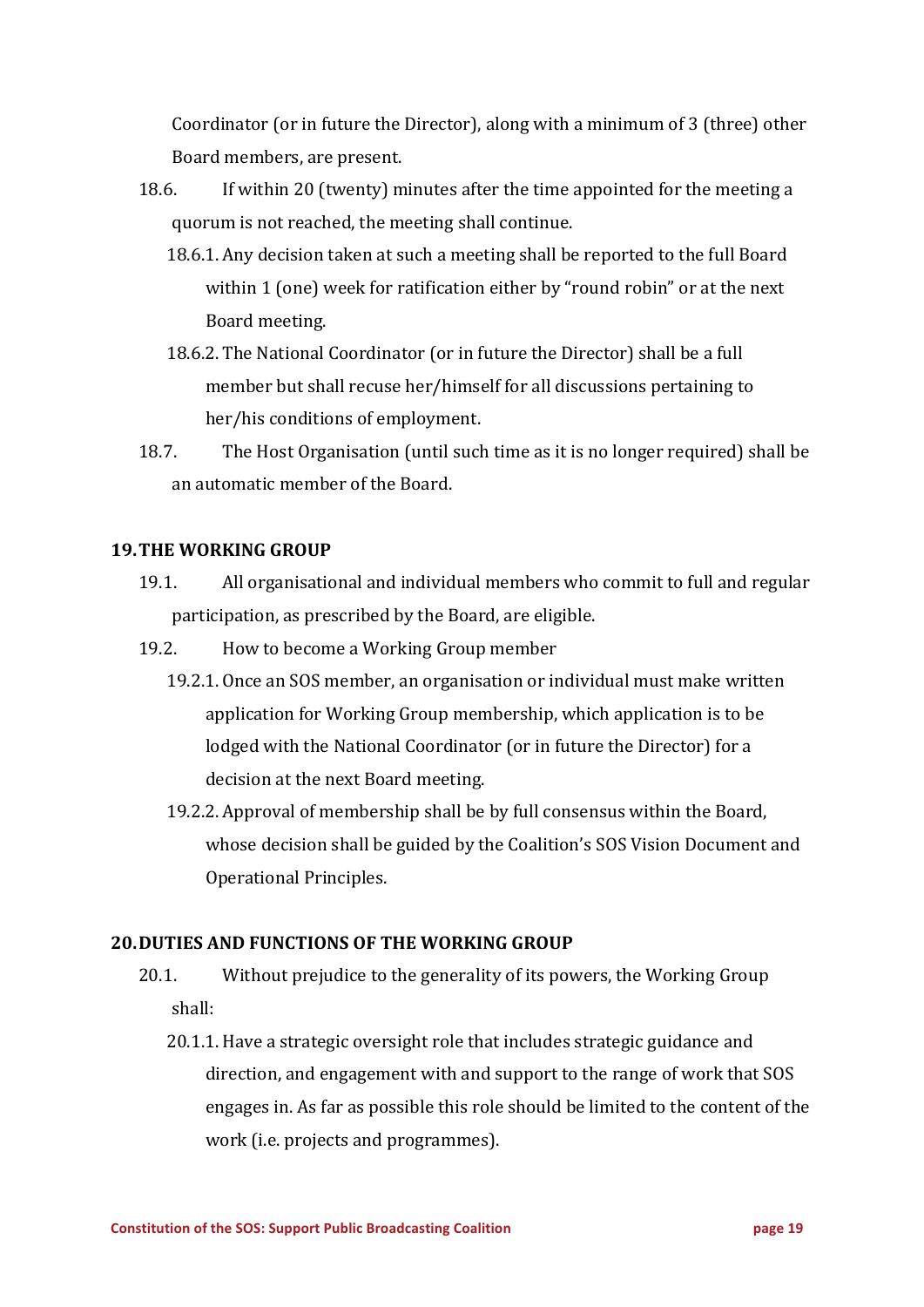Coordinator (or in future the Director), along with a minimum of 3 (three) other Board members, are present.

- 18.6. If within 20 (twenty) minutes after the time appointed for the meeting a quorum is not reached, the meeting shall continue.
	- 18.6.1. Any decision taken at such a meeting shall be reported to the full Board within 1 (one) week for ratification either by "round robin" or at the next Board meeting.
	- 18.6.2. The National Coordinator (or in future the Director) shall be a full member but shall recuse her/himself for all discussions pertaining to her/his conditions of employment.
- 18.7. The Host Organisation (until such time as it is no longer required) shall be an automatic member of the Board.

## **19. THE WORKING GROUP**

- 19.1. All organisational and individual members who commit to full and regular participation, as prescribed by the Board, are eligible.
- 19.2. How to become a Working Group member
	- 19.2.1. Once an SOS member, an organisation or individual must make written application for Working Group membership, which application is to be lodged with the National Coordinator (or in future the Director) for a decision at the next Board meeting.
	- 19.2.2. Approval of membership shall be by full consensus within the Board, whose decision shall be guided by the Coalition's SOS Vision Document and Operational Principles.

## **20. DUTIES AND FUNCTIONS OF THE WORKING GROUP**

- 20.1. Without prejudice to the generality of its powers, the Working Group shall:
	- 20.1.1. Have a strategic oversight role that includes strategic guidance and direction, and engagement with and support to the range of work that SOS engages in. As far as possible this role should be limited to the content of the work (i.e. projects and programmes).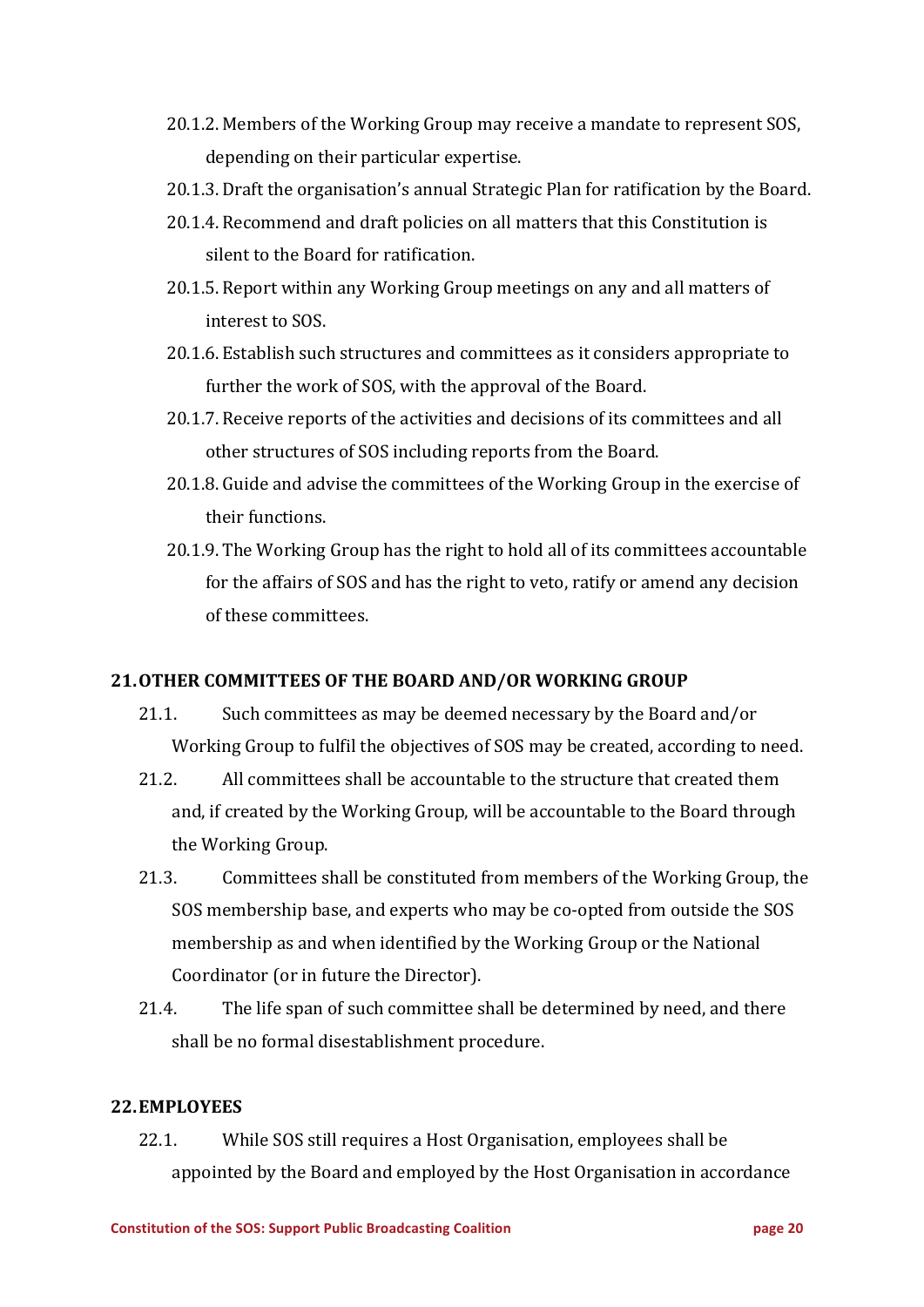- 20.1.2. Members of the Working Group may receive a mandate to represent SOS, depending on their particular expertise.
- 20.1.3. Draft the organisation's annual Strategic Plan for ratification by the Board.
- 20.1.4. Recommend and draft policies on all matters that this Constitution is silent to the Board for ratification.
- 20.1.5. Report within any Working Group meetings on any and all matters of interest to SOS.
- 20.1.6. Establish such structures and committees as it considers appropriate to further the work of SOS, with the approval of the Board.
- 20.1.7. Receive reports of the activities and decisions of its committees and all other structures of SOS including reports from the Board.
- 20.1.8. Guide and advise the committees of the Working Group in the exercise of their functions.
- 20.1.9. The Working Group has the right to hold all of its committees accountable for the affairs of SOS and has the right to veto, ratify or amend any decision of these committees.

# 21. OTHER COMMITTEES OF THE BOARD AND/OR WORKING GROUP

- 21.1. Such committees as may be deemed necessary by the Board and/or Working Group to fulfil the objectives of SOS may be created, according to need.
- 21.2. All committees shall be accountable to the structure that created them and, if created by the Working Group, will be accountable to the Board through the Working Group.
- 21.3. Committees shall be constituted from members of the Working Group, the SOS membership base, and experts who may be co-opted from outside the SOS membership as and when identified by the Working Group or the National Coordinator (or in future the Director).
- 21.4. The life span of such committee shall be determined by need, and there shall be no formal disestablishment procedure.

#### **22.EMPLOYEES**

22.1. While SOS still requires a Host Organisation, employees shall be appointed by the Board and employed by the Host Organisation in accordance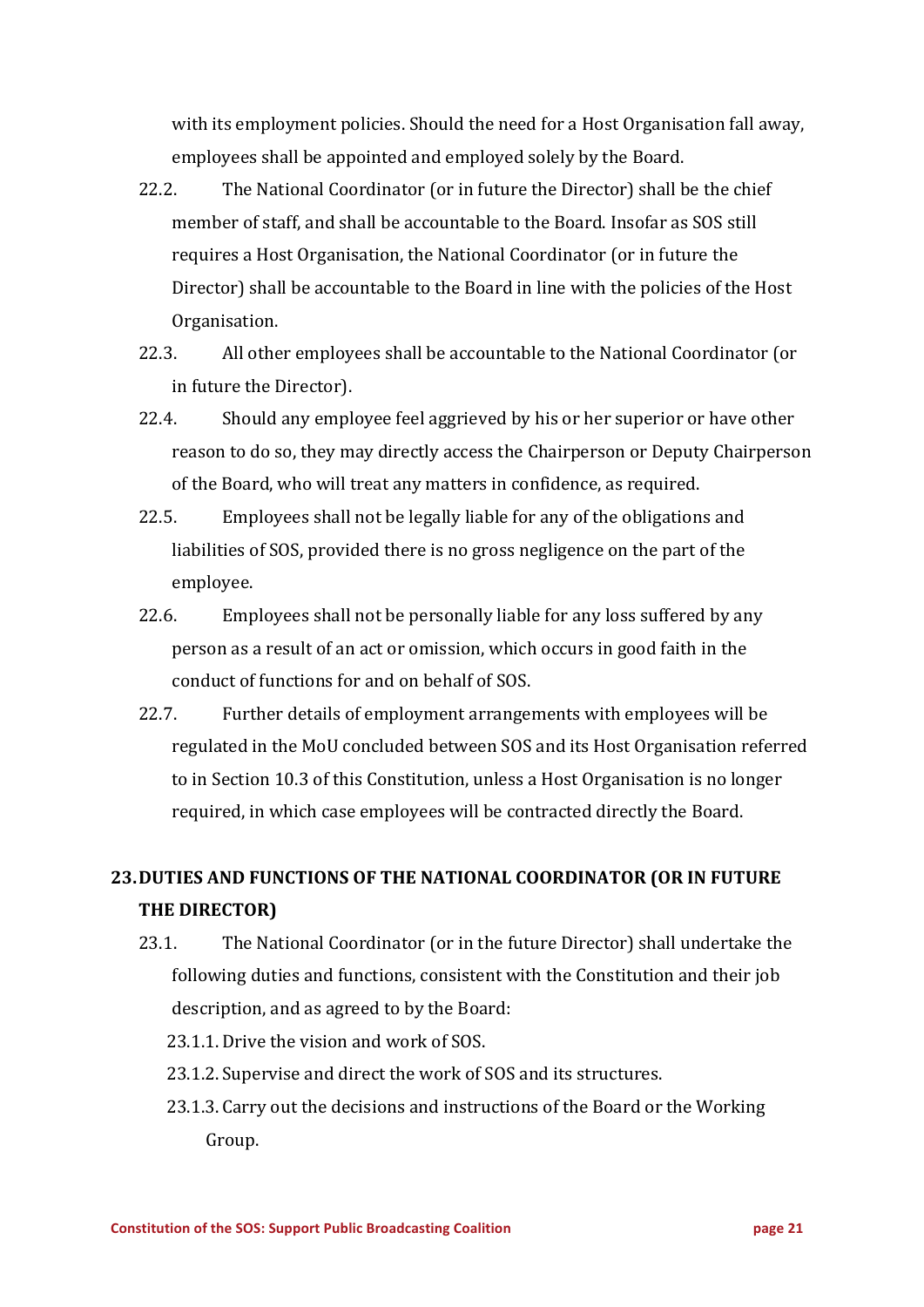with its employment policies. Should the need for a Host Organisation fall away, employees shall be appointed and employed solely by the Board.

- 22.2. The National Coordinator (or in future the Director) shall be the chief member of staff, and shall be accountable to the Board. Insofar as SOS still requires a Host Organisation, the National Coordinator (or in future the Director) shall be accountable to the Board in line with the policies of the Host Organisation.
- 22.3. All other employees shall be accountable to the National Coordinator (or in future the Director).
- 22.4. Should any employee feel aggrieved by his or her superior or have other reason to do so, they may directly access the Chairperson or Deputy Chairperson of the Board, who will treat any matters in confidence, as required.
- 22.5. Employees shall not be legally liable for any of the obligations and liabilities of SOS, provided there is no gross negligence on the part of the employee.
- 22.6. Employees shall not be personally liable for any loss suffered by any person as a result of an act or omission, which occurs in good faith in the conduct of functions for and on behalf of SOS.
- 22.7. Further details of employment arrangements with employees will be regulated in the MoU concluded between SOS and its Host Organisation referred to in Section 10.3 of this Constitution, unless a Host Organisation is no longer required, in which case employees will be contracted directly the Board.

# **23.DUTIES AND FUNCTIONS OF THE NATIONAL COORDINATOR (OR IN FUTURE THE DIRECTOR)**

- 23.1. The National Coordinator (or in the future Director) shall undertake the following duties and functions, consistent with the Constitution and their job description, and as agreed to by the Board:
	- 23.1.1. Drive the vision and work of SOS.
	- 23.1.2. Supervise and direct the work of SOS and its structures.
	- 23.1.3. Carry out the decisions and instructions of the Board or the Working Group.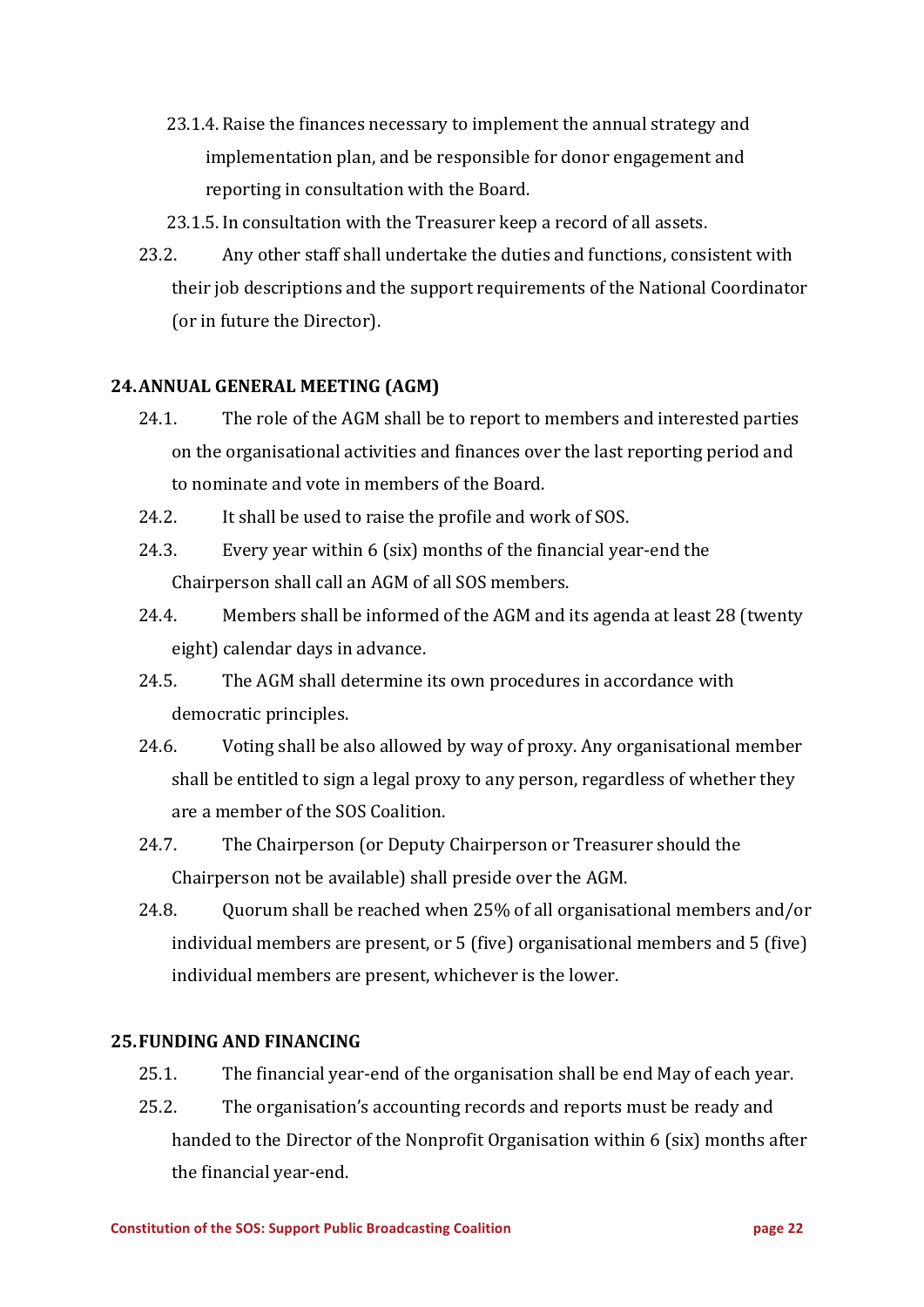- 23.1.4. Raise the finances necessary to implement the annual strategy and implementation plan, and be responsible for donor engagement and reporting in consultation with the Board.
- 23.1.5. In consultation with the Treasurer keep a record of all assets.
- 23.2. Any other staff shall undertake the duties and functions, consistent with their job descriptions and the support requirements of the National Coordinator (or in future the Director).

#### **24.ANNUAL GENERAL MEETING (AGM)**

- 24.1. The role of the AGM shall be to report to members and interested parties on the organisational activities and finances over the last reporting period and to nominate and vote in members of the Board.
- 24.2. It shall be used to raise the profile and work of SOS.
- 24.3. Every year within  $6$  (six) months of the financial year-end the Chairperson shall call an AGM of all SOS members.
- 24.4. Members shall be informed of the AGM and its agenda at least 28 (twenty eight) calendar days in advance.
- 24.5. The AGM shall determine its own procedures in accordance with democratic principles.
- 24.6. Voting shall be also allowed by way of proxy. Any organisational member shall be entitled to sign a legal proxy to any person, regardless of whether they are a member of the SOS Coalition.
- 24.7. The Chairperson (or Deputy Chairperson or Treasurer should the Chairperson not be available) shall preside over the AGM.
- 24.8. Ouorum shall be reached when 25% of all organisational members and/or individual members are present, or  $5$  (five) organisational members and  $5$  (five) individual members are present, whichever is the lower.

#### **25. FUNDING AND FINANCING**

- 25.1. The financial year-end of the organisation shall be end May of each year.
- 25.2. The organisation's accounting records and reports must be ready and handed to the Director of the Nonprofit Organisation within  $6$  (six) months after the financial year-end.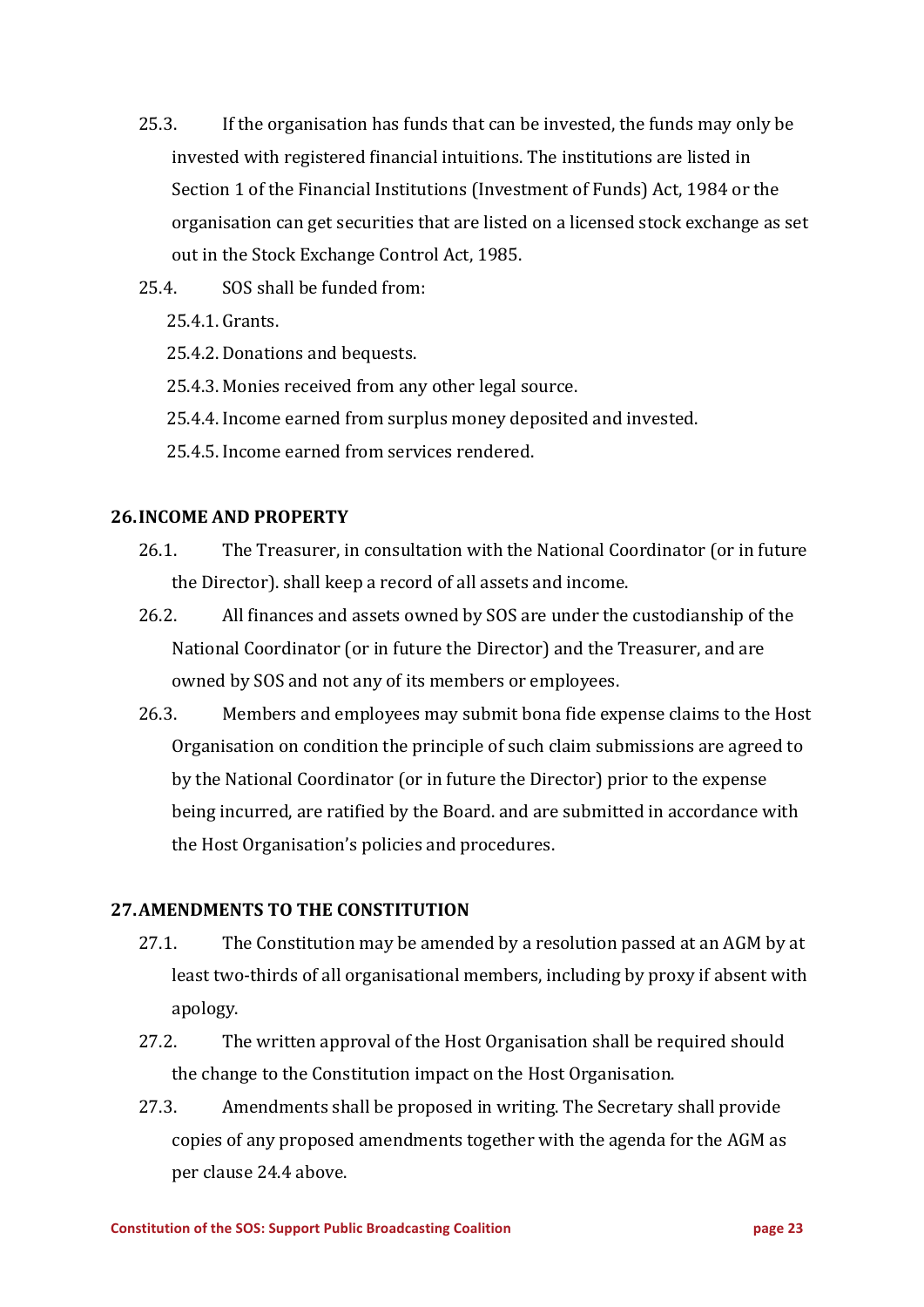- 25.3. If the organisation has funds that can be invested, the funds may only be invested with registered financial intuitions. The institutions are listed in Section 1 of the Financial Institutions (Investment of Funds) Act, 1984 or the organisation can get securities that are listed on a licensed stock exchange as set out in the Stock Exchange Control Act, 1985.
- $25.4.$  SOS shall be funded from:
	- 25.4.1. Grants.
	- 25.4.2. Donations and bequests.
	- 25.4.3. Monies received from any other legal source.
	- 25.4.4. Income earned from surplus money deposited and invested.
	- 25.4.5. Income earned from services rendered.

#### **26.INCOME AND PROPERTY**

- 26.1. The Treasurer, in consultation with the National Coordinator (or in future the Director). shall keep a record of all assets and income.
- 26.2. All finances and assets owned by SOS are under the custodianship of the National Coordinator (or in future the Director) and the Treasurer, and are owned by SOS and not any of its members or employees.
- 26.3. Members and employees may submit bona fide expense claims to the Host Organisation on condition the principle of such claim submissions are agreed to by the National Coordinator (or in future the Director) prior to the expense being incurred, are ratified by the Board. and are submitted in accordance with the Host Organisation's policies and procedures.

## **27. AMENDMENTS TO THE CONSTITUTION**

- 27.1. The Constitution may be amended by a resolution passed at an AGM by at least two-thirds of all organisational members, including by proxy if absent with apology.
- 27.2. The written approval of the Host Organisation shall be required should the change to the Constitution impact on the Host Organisation.
- 27.3. Amendments shall be proposed in writing. The Secretary shall provide copies of any proposed amendments together with the agenda for the AGM as per clause 24.4 above.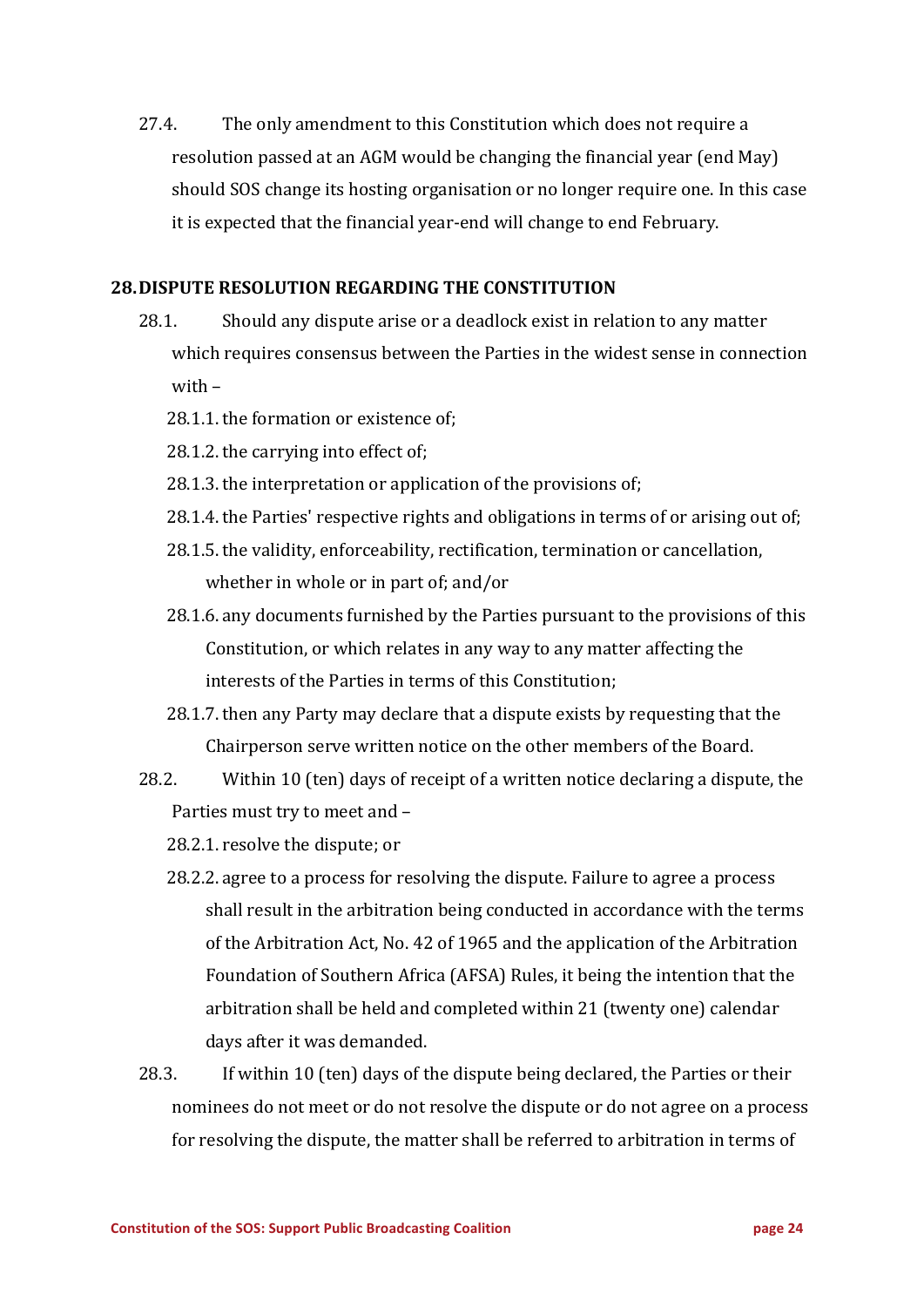27.4. The only amendment to this Constitution which does not require a resolution passed at an AGM would be changing the financial year (end May) should SOS change its hosting organisation or no longer require one. In this case it is expected that the financial year-end will change to end February.

#### **28. DISPUTE RESOLUTION REGARDING THE CONSTITUTION**

- 28.1. Should any dispute arise or a deadlock exist in relation to any matter which requires consensus between the Parties in the widest sense in connection with  $-$ 
	- 28.1.1. the formation or existence of:
	- 28.1.2. the carrying into effect of:
	- $28.1.3$ , the interpretation or application of the provisions of:
	- 28.1.4. the Parties' respective rights and obligations in terms of or arising out of;
	- 28.1.5. the validity, enforceability, rectification, termination or cancellation, whether in whole or in part of; and/or
	- 28.1.6. any documents furnished by the Parties pursuant to the provisions of this Constitution, or which relates in any way to any matter affecting the interests of the Parties in terms of this Constitution;
	- 28.1.7. then any Party may declare that a dispute exists by requesting that the Chairperson serve written notice on the other members of the Board.
- 28.2. Within 10 (ten) days of receipt of a written notice declaring a dispute, the Parties must try to meet and -
	- 28.2.1. resolve the dispute; or
	- 28.2.2. agree to a process for resolving the dispute. Failure to agree a process shall result in the arbitration being conducted in accordance with the terms of the Arbitration Act, No. 42 of 1965 and the application of the Arbitration Foundation of Southern Africa (AFSA) Rules, it being the intention that the arbitration shall be held and completed within 21 (twenty one) calendar days after it was demanded.
- 28.3. If within 10 (ten) days of the dispute being declared, the Parties or their nominees do not meet or do not resolve the dispute or do not agree on a process for resolving the dispute, the matter shall be referred to arbitration in terms of